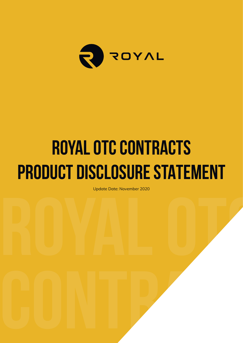

# **ROYAL OTC CONTRACTS PRODUCT DISCLOSURE STATEMENT**

Update Date: November 2020<br>**Royal of Participan School School School School School School School School School School School School School**<br>Royal School School School School School School School School School School School Update Date: November 2020

**CONTRACTS**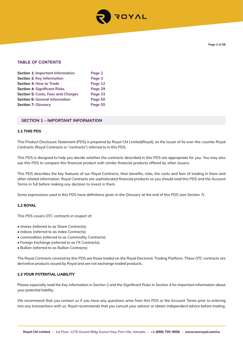

# **TABLE OF CONTENTS**

| <b>Section 1: Important Information</b>   | Page 2  |
|-------------------------------------------|---------|
| <b>Section 2: Key Information</b>         | Page 3  |
| Section 3: How to Trade                   | Page 12 |
| <b>Section 4: Significant Risks</b>       | Page 29 |
| <b>Section 5: Costs, Fees and Charges</b> | Page 33 |
| <b>Section 6: General Information</b>     | Page 50 |
| <b>Section 7: Glossary</b>                | Page 55 |

## **SECTION 1 – IMPORTANT INFORMATION**

## **1.1 THIS PDS**

This Product Disclosure Statement (PDS) is prepared by Royal CM Limited(Royal), as the issuer of its over-the-counter Royal Contracts (Royal Contracts or "contracts") referred to in this PDS.

This PDS is designed to help you decide whether the contracts described in this PDS are appropriate for you. You may also use this PDS to compare this financial product with similar financial products offered by other issuers.

This PDS describes the key features of our Royal Contracts, their benefits, risks, the costs and fees of trading in them and other related information. Royal Contracts are sophisticated financial products so you should read this PDS and the Account Terms in full before making any decision to invest in them.

Some expressions used in this PDS have definitions given in the Glossary at the end of this PDS (see Section 7).

## **1.2 ROYAL**

This PDS covers OTC contracts in respect of:

- shares (referred to as Share Contracts);
- indices (referred to as Index Contracts);
- commodities (referred to as Commodity Contracts).
- Foreign Exchange (referred to as FX Contracts);
- Bullion (referred to as Bullion Contracts)

The Royal Contracts covered by this PDS are those traded on the Royal Electronic Trading Platform. These OTC contracts are derivative products issued by Royal and are not exchange traded products.

## **1.3 YOUR POTENTIAL LIABILITY**

Please especially read the Key Information in Section 2 and the Significant Risks in Section 4 for important information about your potential liability.

We recommend that you contact us if you have any questions arise from this PDS or the Account Terms prior to entering into any transactions with us. Royal recommends that you consult your advisor or obtain independent advice before trading.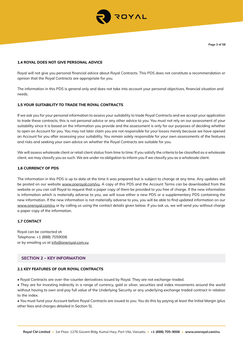

## **1.4 ROYAL DOES NOT GIVE PERSONAL ADVICE**

Royal will not give you personal financial advice about Royal Contracts. This PDS does not constitute a recommendation or opinion that the Royal Contracts are appropriate for you.

The information in this PDS is general only and does not take into account your personal objectives, financial situation and needs.

## **1.5 YOUR SUITABILITY TO TRADE THE ROYAL CONTRACTS**

If we ask you for your personal information to assess your suitability to trade Royal Contracts and we accept your application to trade these contracts, this is not personal advice or any other advice to you. You must not rely on our assessment of your suitability since it is based on the information you provide and the assessment is only for our purposes of deciding whether to open an Account for you. You may not later claim you are not responsible for your losses merely because we have opened an Account for you after assessing your suitability. You remain solely responsible for your own assessments of the features and risks and seeking your own advice on whether the Royal Contracts are suitable for you.

We will assess wholesale client or retail client status from time to time. If you satisfy the criteria to be classified as a wholesale client, we may classify you as such. We are under no obligation to inform you if we classify you as a wholesale client.

## **1.6 CURRENCY OF PDS**

The information in this PDS is up to date at the time it was prepared but is subject to change at any time. Any updates will be posted on our website www.oneroyal.com/vu. A copy of this PDS and the Account Terms can be downloaded from the website or you can call Royal to request that a paper copy of them be provided to you free of charge. If the new information is information which is materially adverse to you, we will issue either a new PDS or a supplementary PDS containing the new information. If the new information is not materially adverse to you, you will be able to find updated information on our www.oneroyal.com/vu or by calling us using the contact details given below. If you ask us, we will send you without charge a paper copy of the information.

## **1.7 CONTACT**

Royal can be contacted at: Telephone: +1 (888) 7059006 or by emailing us at info@oneroyal.com.vu

## **SECTION 2 – KEY INFORMATION**

#### **2.1 KEY FEATURES OF OUR ROYAL CONTRACTS**

• Royal Contracts are over-the-counter derivatives issued by Royal. They are not exchange-traded.

• They are for investing indirectly in a range of currency, gold or silver, securities and index movements around the world without having to own and pay full value of the Underlying Security or any underlying exchange traded contract in relation to the index.

• You must fund your Account before Royal Contracts are issued to you. You do this by paying at least the Initial Margin (plus other fees and charges detailed in Section 5).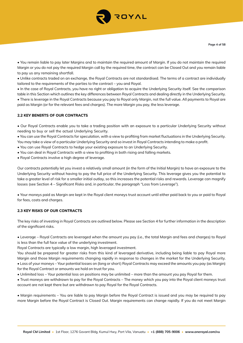

• You remain liable to pay later Margins and to maintain the required amount of Margin. If you do not maintain the required Margin or you do not pay the required Margin call by the required time, the contract can be Closed Out and you remain liable to pay us any remaining shortfall.

• Unlike contracts traded on an exchange, the Royal Contracts are not standardised. The terms of a contract are individually tailored to the requirements of the parties to the contract – you and Royal.

• In the case of Royal Contracts, you have no right or obligation to acquire the Underlying Security itself. See the comparison table in this Section which outlines the key differences between Royal Contracts and dealing directly in the Underlying Security. • There is leverage in the Royal Contracts because you pay to Royal only Margin, not the full value. All payments to Royal are paid as Margin (or for the relevant fees and charges). The more Margin you pay, the less leverage.

# **2.2 KEY BENEFTS OF OUR CONTRACTS**

• Our Royal Contracts enable you to take a trading position with an exposure to a particular Underlying Security without needing to buy or sell the actual Underlying Security.

• You can use the Royal Contracts for speculation, with a view to profiting from market fluctuations in the Underlying Security. You may take a view of a particular Underlying Security and so invest in Royal Contracts intending to make a profit.

- You can use Royal Contracts to hedge your existing exposure to an Underlying Security.
- You can deal in Royal Contracts with a view to profiting in both rising and falling markets.
- Royal Contracts involve a high degree of leverage.

Our contracts potentially let you invest a relatively small amount (in the form of the Initial Margin) to have an exposure to the Underlying Security without having to pay the full price of the Underlying Security. This leverage gives you the potential to take a greater level of risk for a smaller initial outlay, so this increases the potential risks and rewards. Leverage can magnify losses (see Section 4 – Significant Risks and, in particular, the paragraph "Loss from Leverage").

• Your moneys paid as Margin are kept in the Royal client moneys trust account until either paid back to you or paid to Royal for fees, costs and charges.

## **2.3 KEY RISKS OF OUR CONTRACTS**

The key risks of investing in Royal Contracts are outlined below. Please see Section 4 for further information in the description of the significant risks.

• Leverage – Royal Contracts are leveraged when the amount you pay (i.e., the total Margin and fees and charges) to Royal is less than the full face value of the underlying investment.

Royal Contracts are typically a low margin, high leveraged investment.

You should be prepared for greater risks from this kind of leveraged derivative, including being liable to pay Royal more Margin and those Margin requirements changing rapidly in response to changes in the market for the Underlying Security. • Loss of your moneys – Your potential losses on (long or short) Royal Contracts may exceed the amounts you pay (as Margin) for the Royal Contract or amounts we hold on trust for you.

• Unlimited loss – Your potential loss on positions may be unlimited – more than the amount you pay Royal for them.

• Trust moneys are withdrawn to pay for the Royal Contracts – The money which you pay into the Royal client moneys trust account are not kept there but are withdrawn to pay Royal for the Royal Contracts.

• Margin requirements – You are liable to pay Margin before the Royal Contract is issued and you may be required to pay more Margin before the Royal Contract is Closed Out. Margin requirements can change rapidly. If you do not meet Margin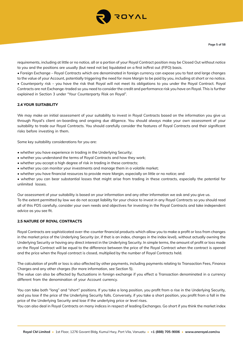

requirements, including at little or no notice, all or a portion of your Royal Contract position may be Closed Out without notice to you and the positions are usually (but need not be) liquidated on a first in/first out (FIFO) basis.

• Foreign Exchange – Royal Contracts which are denominated in foreign currency can expose you to fast and large changes to the value of your Account, potentially triggering the need for more Margin to be paid by you, including at short or no notice. • Counterparty risk – you have the risk that Royal will not meet its obligations to you under the Royal Contract. Royal Contracts are not Exchange-traded so you need to consider the credit and performance risk you have on Royal. This is further explained in Section 3 under "Your Counterparty Risk on Royal".

## **2.4 YOUR SUITABILITY**

We may make an initial assessment of your suitability to invest in Royal Contracts based on the information you give us through Royal's client on-boarding and ongoing due diligence. You should always make your own assessment of your suitability to trade our Royal Contracts. You should carefully consider the features of Royal Contracts and their significant risks before investing in them.

Some key suitability considerations for you are:

- whether you have experience in trading in the Underlying Security;
- whether you understand the terms of Royal Contracts and how they work;
- whether you accept a high degree of risk in trading in these contracts;
- whether you can monitor your investments and manage them in a volatile market;
- whether you have financial resources to provide more Margin, especially on little or no notice; and
- whether you can bear substantial losses that might arise from trading in these contracts, especially the potential for unlimited losses.

Our assessment of your suitability is based on your information and any other information we ask and you give us. To the extent permitted by law we do not accept liability for your choice to invest in any Royal Contracts so you should read all of this PDS carefully, consider your own needs and objectives for investing in the Royal Contracts and take independent advice as you see fit.

# **2.5 NATURE OF ROYAL CONTRACTS**

Royal Contracts are sophisticated over-the-counter financial products which allow you to make a profit or loss from changes in the market price of the Underlying Security (or, if that is an index, changes in the index level), without actually owning the Underlying Security or having any direct interest in the Underlying Security. In simple terms, the amount of profit or loss made on the Royal Contract will be equal to the difference between the price of the Royal Contract when the contract is opened and the price when the Royal contract is closed, multiplied by the number of Royal Contracts held.

The calculation of profit or loss is also affected by other payments, including payments relating to Transaction Fees, Finance Charges and any other charges (for more information, see Section 5).

The value can also be affected by fluctuations in foreign exchange if you effect a Transaction denominated in a currency different from the denomination of your Account currency.

You can take both "long" and "short" positions. If you take a long position, you profit from a rise in the Underlying Security, and you lose if the price of the Underlying Security falls. Conversely, if you take a short position, you profit from a fall in the price of the Underlying Security and lose if the underlying price or level rises.

You can also deal in Royal Contracts on many indices in respect of leading Exchanges. Go short if you think the market index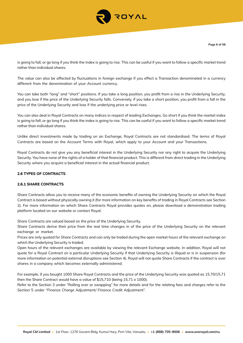

is going to fall, or go long if you think the index is going to rise. This can be useful if you want to follow a specific market trend rather than individual shares.

The value can also be affected by fluctuations in foreign exchange if you effect a Transaction denominated in a currency different from the denomination of your Account currency.

You can take both "long" and "short" positions. If you take a long position, you profit from a rise in the Underlying Security, and you lose if the price of the Underlying Security falls. Conversely, if you take a short position, you profit from a fall in the price of the Underlying Security and lose if the underlying price or level rises.

You can also deal in Royal Contracts on many indices in respect of leading Exchanges. Go short if you think the market index is going to fall, or go long if you think the index is going to rise. This can be useful if you want to follow a specific market trend rather than individual shares.

Unlike direct investments made by trading on an Exchange, Royal Contracts are not standardised. The terms of Royal Contracts are based on the Account Terms with Royal, which apply to your Account and your Transactions.

Royal Contracts do not give you any beneficial interest in the Underlying Security nor any right to acquire the Underlying Security. You have none of the rights of a holder of that financial product. This is different from direct trading in the Underlying Security where you acquire a beneficial interest in the actual financial product.

## **2.6 TYPES OF CONTRACTS**

## **2.6.1 SHARE CONTRACTS**

Share Contracts allow you to receive many of the economic benefits of owning the Underlying Security on which the Royal Contract is based without physically owning it (for more information on key benefits of trading in Royal Contracts see Section 2). For more information on which Share Contracts Royal provides quotes on, please download a demonstration trading platform located on our website or contact Royal.

Share Contracts are valued based on the price of the Underlying Security.

Share Contracts derive their price from the real time changes in of the price of the Underlying Security on the relevant exchange or market.

Prices are only quoted for Share Contracts and can only be traded during the open market hours of the relevant exchange on which the Underlying Security is traded.

Open hours of the relevant exchanges are available by viewing the relevant Exchange website. In addition, Royal will not quote for a Royal Contract on a particular Underlying Security if that Underlying Security is illiquid or is in suspension (for more information on potential external disruptions see Section 4). Royal will not quote Share Contracts if the contract is over shares in a company which becomes externally administered.

For example, if you bought 1000 Share Royal Contracts and the price of the Underlying Security was quoted as 15.70/15.71 then the Share Contract would have a value of \$15,710 (being 15.71 x 1000).

Refer to the Section 3 under "Rolling over or swapping" for more details and for the relating fees and charges refer to the Section 5 under "Finance Charge Adjustment/ Finance Credit Adjustment".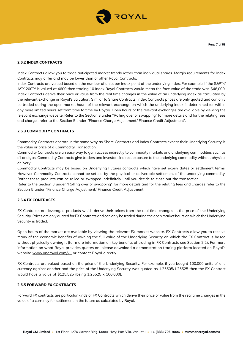

## **2.6.2 INDEX CONTRACTS**

Index Contracts allow you to trade anticipated market trends rather than individual shares. Margin requirements for Index Contracts may differ and may be lower than of other Royal Contracts.

Index Contracts are valued based on the number of units per index point of the underlying index. For example, if the S&P™/ ASX 200™ is valued at 4600 then trading 10 Index Royal Contracts would mean the face value of the trade was \$46,000. Index Contracts derive their price or value from the real time changes in the value of an underlying index as calculated by the relevant exchange or Royal's valuation. Similar to Share Contracts, Index Contracts prices are only quoted and can only be traded during the open market hours of the relevant exchange on which the underlying index is determined (or within any more limited hours set from time to time by Royal). Open hours of the relevant exchanges are available by viewing the relevant exchange website. Refer to the Section 3 under "Rolling over or swapping" for more details and for the relating fees and charges refer to the Section 5 under "Finance Charge Adjustment/ Finance Credit Adjustment".

## **2.6.3 COMMODITY CONTRACTS**

Commodity Contracts operate in the same way as Share Contracts and Index Contracts except their Underlying Security is the value or price of a Commodity Transaction.

Commodity Contracts are an easy way to gain access indirectly to commodity markets and underlying commodities such as oil and gas. Commodity Contracts give traders and investors indirect exposure to the underlying commodity without physical delivery.

Commodity Contracts may be based on Underlying Futures contracts which have set expiry dates or settlement terms. However Commodity Contracts cannot be settled by the physical or deliverable settlement of the underlying commodity. Rather these products can be rolled or swapped indefinitely until you decide to close out the transaction.

Refer to the Section 3 under "Rolling over or swapping" for more details and for the relating fees and charges refer to the Section 5 under "Finance Charge Adjustment/ Finance Credit Adjustment.

## **2.6.4 FX CONTRACTS**

FX Contracts are leveraged products which derive their prices from the real time changes in the price of the Underlying Security. Prices are only quoted for FX Contracts and can only be traded during the open market hours on which the Underlying Security is traded.

Open hours of the market are available by viewing the relevant FX market website. FX Contracts allow you to receive many of the economic benefits of owning the full value of the Underlying Security on which the FX Contract is based without physically owning it (for more information on key benefits of trading in FX Contracts see Section 2.2). For more information on what Royal provides quotes on, please download a demonstration trading platform located on Royal's website www.oneroyal.com/vu or contact Royal directly.

FX Contracts are valued based on the price of the Underlying Security. For example, if you bought 100,000 units of one currency against another and the price of the Underlying Security was quoted as 1.25505/1.25525 then the FX Contract would have a value of \$125,525 (being 1.25525 x 100,000).

## **2.6.5 FORWARD FX CONTRACTS**

Forward FX contracts are particular kinds of FX Contracts which derive their price or value from the real time changes in the value of a currency for settlement in the future as calculated by Royal.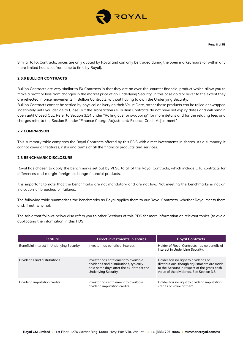

Similar to FX Contracts, prices are only quoted by Royal and can only be traded during the open market hours (or within any more limited hours set from time to time by Royal).

# **2.6.6 BULLION CONTRACTS**

Bullion Contracts are very similar to FX Contracts in that they are an over-the-counter financial product which allow you to make a profit or loss from changes in the market price of an Underlying Security, in this case gold or silver to the extent they are reflected in price movements in Bullion Contracts, without having to own the Underlying Security.

Bullion Contracts cannot be settled by physical delivery on their Value Date, rather these products can be rolled or swapped indefinitely until you decide to Close Out the Transaction i.e. Bullion Contracts do not have set expiry dates and will remain open until Closed Out. Refer to Section 3.14 under "Rolling over or swapping" for more details and for the relating fees and charges refer to the Section 5 under "Finance Charge Adjustment/ Finance Credit Adjustment".

## **2.7 COMPARISON**

This summary table compares the Royal Contracts offered by this PDS with direct investments in shares. As a summary, it cannot cover all features, risks and terms of all the financial products and services.

#### **2.8 BENCHMARK DISCLOSURE**

Royal has chosen to apply the benchmarks set out by VFSC to all of the Royal Contracts, which include OTC contracts for differences and margin foreign exchange financial products.

It is important to note that the benchmarks are not mandatory and are not law. Not meeting the benchmarks is not an indication of breaches or failures.

The following table summarises the benchmarks as Royal applies them to our Royal Contracts, whether Royal meets them and, if not, why not.

The table that follows below also refers you to other Sections of this PDS for more information on relevant topics (to avoid duplicating the information in this PDS).

| Feature                                    | Direct investments in shares                                                                                                                        | <b>Royal Contracts</b>                                                                                                                                                       |
|--------------------------------------------|-----------------------------------------------------------------------------------------------------------------------------------------------------|------------------------------------------------------------------------------------------------------------------------------------------------------------------------------|
| Beneficial interest in Underlying Security | Investor has beneficial interest.                                                                                                                   | Holder of Royal Contracts has no beneficial<br>interest in Underlying Security.                                                                                              |
| Dividends and distributions                | Investor has entitlement to available<br>dividends and distributions, typically<br>paid some days after the ex-date for the<br>Underlying Security. | Holder has no right to dividends or<br>distributions, though adjustments are made<br>to the Account in respect of the gross cash<br>value of the dividends. See Section 3.8. |
| Dividend imputation credits                | Investor has entitlement to available<br>dividend imputation credits.                                                                               | Holder has no right to dividend imputation<br>credits or value of them.                                                                                                      |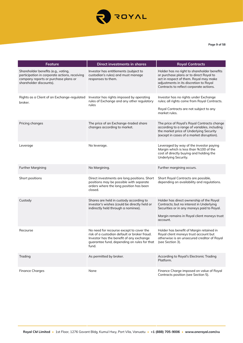

**Page 9 of 58**

| Feature                                                                                                                                                 | <b>Direct investments in shares</b>                                                                                                                                                                           | <b>Royal Contracts</b>                                                                                                                                                                                                |
|---------------------------------------------------------------------------------------------------------------------------------------------------------|---------------------------------------------------------------------------------------------------------------------------------------------------------------------------------------------------------------|-----------------------------------------------------------------------------------------------------------------------------------------------------------------------------------------------------------------------|
| Shareholder benefits (e.g., voting,<br>participation in corporate actions, receiving<br>company reports or purchase plans or<br>shareholder discounts). | Investor has entitlements (subject to<br>custodian's rules) and must manage<br>responses to them.                                                                                                             | Holder has no right to shareholder benefits<br>or purchase plans or to direct Royal to<br>act in respect of them. Royal may make<br>adjustments in its discretion to Royal<br>Contracts to reflect corporate actions. |
| Rights as a Client of an Exchange-regulated<br>broker.                                                                                                  | Investor has rights imposed by operating<br>rules of Exchange and any other regulatory<br>rules                                                                                                               | Investor has no rights under Exchange<br>rules; all rights come from Royal Contracts.<br>Royal Contracts are not subject to any<br>market rules.                                                                      |
| Pricing changes                                                                                                                                         | The price of an Exchange-traded share<br>changes according to market.                                                                                                                                         | The price of Royal's Royal Contracts change<br>according to a range of variables, including<br>the market price of Underlying Security<br>(except in cases of a market disruption).                                   |
| Leverage                                                                                                                                                | No leverage.                                                                                                                                                                                                  | Leveraged by way of the investor paying<br>Margin which is less than %100 of the<br>cost of directly buying and holding the<br>Underlying Security.                                                                   |
| <b>Further Margining</b>                                                                                                                                | No Margining.                                                                                                                                                                                                 | Further margining occurs.                                                                                                                                                                                             |
| Short positions                                                                                                                                         | Direct investments are long positions. Short<br>positions may be possible with separate<br>orders where the long position has been<br>closed.                                                                 | Short Royal Contracts are possible,<br>depending on availability and regulations.                                                                                                                                     |
| Custody                                                                                                                                                 | Shares are held in custody according to<br>investor's wishes (could be directly held or<br>indirectly held through a nominee).                                                                                | Holder has direct ownership of the Royal<br>Contracts; but no interest in Underlying<br>Securities or in any moneys paid to Royal.<br>Margin remains in Royal client moneys trust<br>account.                         |
| Recourse                                                                                                                                                | No need for recourse except to cover the<br>risk of a custodian default or broker fraud.<br>Investor has the benefit of any exchange<br>quarantee fund, depending on rules for that (see Section 3).<br>fund. | Holder has benefit of Margin retained in<br>Royal client moneys trust account but<br>otherwise is an unsecured creditor of Royal                                                                                      |
| Trading                                                                                                                                                 | As permitted by broker.                                                                                                                                                                                       | According to Royal's Electronic Trading<br>Platform.                                                                                                                                                                  |
| <b>Finance Charges</b>                                                                                                                                  | None                                                                                                                                                                                                          | Finance Charge imposed on value of Royal<br>Contracts position (see Section 5).                                                                                                                                       |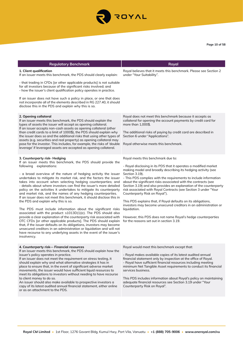

| <b>Regulatory Benchmark</b>                                                                                                                                                                                                                                                                                                                                                                                                                                                                                                                                                                                                                                                                                                                                                                                                                                                                                                                                                                                                                                                                                                                                                           | Royal                                                                                                                                                                                                                                                                                                                                                                                                                                                                                                                                                                                                                                                                                                                                                                      |
|---------------------------------------------------------------------------------------------------------------------------------------------------------------------------------------------------------------------------------------------------------------------------------------------------------------------------------------------------------------------------------------------------------------------------------------------------------------------------------------------------------------------------------------------------------------------------------------------------------------------------------------------------------------------------------------------------------------------------------------------------------------------------------------------------------------------------------------------------------------------------------------------------------------------------------------------------------------------------------------------------------------------------------------------------------------------------------------------------------------------------------------------------------------------------------------|----------------------------------------------------------------------------------------------------------------------------------------------------------------------------------------------------------------------------------------------------------------------------------------------------------------------------------------------------------------------------------------------------------------------------------------------------------------------------------------------------------------------------------------------------------------------------------------------------------------------------------------------------------------------------------------------------------------------------------------------------------------------------|
| 1. Client qualification<br>If an issuer meets this benchmark, the PDS should clearly explain:<br>- that trading in CFDs [or other applicable products] is not suitable<br>for all investors because of the significant risks involved; and<br>- how the issuer's client qualification policy operates in practice.<br>If an issuer does not have such a policy in place, or one that does<br>not incorporate all of the elements described in RG 227.40, it should                                                                                                                                                                                                                                                                                                                                                                                                                                                                                                                                                                                                                                                                                                                    | Royal believes that it meets this benchmark. Please see Section 2<br>under "Your Suitability".                                                                                                                                                                                                                                                                                                                                                                                                                                                                                                                                                                                                                                                                             |
| disclose this in the PDS and explain why this is so.<br>2. Opening collateral<br>If an issuer meets this benchmark, the PDS should explain the<br>types of assets the issuer will accept as opening collateral.<br>If an issuer accepts non-cash assets as opening collateral (other<br>than credit cards to a limit of 1000\$), the PDS should explain why<br>the issuer does so and the additional risks that using other types of<br>assets (e.g. securities and real property) as opening collateral may<br>pose for the investor. This includes, for example, the risks of 'double<br>leverage' if leveraged assets are accepted as opening collateral.                                                                                                                                                                                                                                                                                                                                                                                                                                                                                                                          | Royal does not meet this benchmark because it accepts as<br>collateral for opening the account payments by credit card for<br>more than 1,000\$.<br>The additional risks of paying by credit card are described in<br>Section 6 under "Applications".<br>Royal otherwise meets this benchmark.                                                                                                                                                                                                                                                                                                                                                                                                                                                                             |
| 3. Counterparty risk-Hedging<br>If an issuer meets this benchmark, the PDS should provide the<br>following explanations:<br>- a broad overview of the nature of hedging activity the issuer<br>undertakes to mitigate its market risk, and the factors the issuer<br>takes into account when selecting hedging counterparties; and<br>- details about where investors can find the issuer's more detailed<br>policy on the activities it undertakes to mitigate its counterparty<br>and market risk, and the names of any hedging counterparties.<br>If an issuer does not meet this benchmark, it should disclose this in<br>the PDS and explain why this is so.<br>The PDS must include information about the significant risks<br>associated with the product: s1013D(1)(c). The PDS should also<br>provide a clear explanation of the counterparty risk associated with<br>OTC CFDs [or other applicable products]. The PDS should explain<br>that, if the issuer defaults on its obligations, investors may become<br>unsecured creditors in an administration or liquidation and will not<br>have recourse to any underlying assets in the event of the issuer's<br>insolvency. | Royal meets this benchmark due to:<br>- Royal disclosing in its PDS that it operates a modified market<br>making model and broadly describing its hedging activity (see<br>Section 3.19).<br>- This PDS complies with the requirements to include information<br>about the significant risks associated with the contracts (see<br>Section 3.19) and also provides an explanation of the counterparty<br>risk associated with Royal Contracts (see Section 3 under "Your<br>Counterparty Risk on Royal").<br>This PDS explains that, if Royal defaults on its obligations,<br>investors may become unsecured creditors in an administration or<br>liquidation.<br>However, this PDS does not name Royal's hedge counterparties<br>for the reasons set out in section 3.19. |
| 4. Counterparty risk- Financial resources<br>If an issuer meets this benchmark, the PDS should explain how the<br>issuer's policy operates in practice.<br>If an issuer does not meet the requirement on stress testing, it<br>should explain why and what alternative strategies it has in<br>place to ensure that, in the event of significant adverse market<br>movements, the issuer would have sufficient liquid resources to<br>meet its obligations to investors without needing to have recourse<br>to client money to do so.<br>An issuer should also make available to prospective investors a<br>copy of its latest audited annual financial statement, either online<br>or as an attachment to the PDS.                                                                                                                                                                                                                                                                                                                                                                                                                                                                   | Royal would meet this benchmark except that:<br>- Royal makes available copies of its latest audited annual<br>financial statement only by inspection at the office of Royal.<br>- Royal have sufficient financial resources including meeting<br>minimum Net Tangible Asset requirements to conduct its financial<br>services business.<br>This PDS includes information about Royal's policy on maintaining<br>adequate financial resources see Section 3.19 under "Your<br>Counterparty Risk on Royal".                                                                                                                                                                                                                                                                 |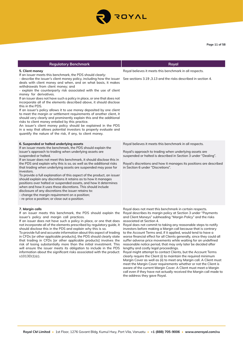

| <b>Regulatory Benchmark</b>                                                                                                                                                                                                                                                                                                                                                                                                                                                                                                                                                                                                                                                                                                                                                                                                                                                                                                                                                                                      | Royal                                                                                                                                                                                                                                                                                                                                                                                                                                                                                                                                                                                                                                                                                                                                                                                                                                                                                                                                                                                                                                                                                                                                   |
|------------------------------------------------------------------------------------------------------------------------------------------------------------------------------------------------------------------------------------------------------------------------------------------------------------------------------------------------------------------------------------------------------------------------------------------------------------------------------------------------------------------------------------------------------------------------------------------------------------------------------------------------------------------------------------------------------------------------------------------------------------------------------------------------------------------------------------------------------------------------------------------------------------------------------------------------------------------------------------------------------------------|-----------------------------------------------------------------------------------------------------------------------------------------------------------------------------------------------------------------------------------------------------------------------------------------------------------------------------------------------------------------------------------------------------------------------------------------------------------------------------------------------------------------------------------------------------------------------------------------------------------------------------------------------------------------------------------------------------------------------------------------------------------------------------------------------------------------------------------------------------------------------------------------------------------------------------------------------------------------------------------------------------------------------------------------------------------------------------------------------------------------------------------------|
| 5. Client money<br>If an issuer meets this benchmark, the PDS should clearly:<br>- describe the issuer's client money policy, including how the issuer<br>deals with client money and when, and on what basis, it makes<br>withdrawals from client money; and<br>- explain the counterparty risk associated with the use of client<br>money for derivatives.<br>If an issuer does not have such a policy in place, or one that does not<br>incorporate all of the elements described above, it should disclose<br>this in the PDS.<br>If an issuer's policy allows it to use money deposited by one client<br>to meet the margin or settlement requirements of another client, it<br>should very clearly and prominently explain this and the additional<br>risks to client money entailed by this practice.<br>An issuer's client money policy should be explained in the PDS<br>in a way that allows potential investors to properly evaluate and<br>quantify the nature of the risk, if any, to client money. | Royal believes it meets this benchmark in all respects.<br>See sections 3.19, 3.13 and the risks described in section 4.                                                                                                                                                                                                                                                                                                                                                                                                                                                                                                                                                                                                                                                                                                                                                                                                                                                                                                                                                                                                                |
| 6. Suspended or halted underlying assets<br>If an issuer meets the benchmark, the PDS should explain the<br>issuer's approach to trading when underlying assets are<br>suspended or halted.<br>If an issuer does not meet this benchmark, it should disclose this in<br>the PDS and explain why this is so, as well as the additional risks<br>that trading when underlying assets are suspended may pose for<br>investors.<br>To provide a full explanation of this aspect of the product, an issuer<br>should explain any discretions it retains as to how it manages<br>positions over halted or suspended assets, and how it determines<br>when and how it uses these discretions. This should include<br>disclosure of any discretions the issuer retains to:<br>- change the margin requirement on a position;<br>- re-price a position; or close out a position.                                                                                                                                          | Royal believes it meets this benchmark in all respects.<br>Royal's approach to trading when underlying assets are<br>suspended or halted is described in Section 3 under "Dealing".<br>Royal's discretions and how it manages its positions are described<br>in Section 6 under "Discretions".                                                                                                                                                                                                                                                                                                                                                                                                                                                                                                                                                                                                                                                                                                                                                                                                                                          |
| 7. Margin calls<br>If an issuer meets this benchmark, the PDS should explain the<br>issuer's policy and margin call practices.<br>If an issuer does not have such a policy in place, or one that does<br>not incorporate all of the elements prescribed by regulatory guide, it<br>should disclose this in the PDS and explain why this is so.<br>To provide full and accurate information about this aspect of trading<br>in CFDs [or other applicable products], the PDS should clearly state<br>that trading in CFDs [or other applicable products] involves the<br>risk of losing substantially more than the initial investment. This<br>will ensure the issuer meets its obligation to include in the PDS<br>information about the significant risks associated with the product:<br>$s1013D(1)(c)$ .                                                                                                                                                                                                      | Royal does not meet this benchmark in certain respects.<br>Royal describes its margin policy at Section 3 under "Payments<br>and Client Moneys" subheading "Margin Policy" and the risks<br>associated at Section 4.<br>Royal does not commit to taking any reasonable steps to notify<br>investors before making a Margin call because that is contrary<br>to the Account Terms and, if it applied, would tend to have a<br>worse financial effect for all Clients generally, since they could all<br>suffer adverse price movements while waiting for an undefined<br>reasonable notice period, that may only later be decided after<br>lengthy and costly legal proceedings.<br>Royal might attempt to contact Clients, but the Account Terms<br>clearly require the Client (i) to maintain the required minimum<br>Margin Cover as well as (ii) to meet any Margin call. A Client must<br>meet the Margin Cover requirements whether or not the Client is<br>aware of the current Margin Cover. A Client must meet a Margin<br>call even if they have not actually received the Margin call made to<br>the address they gave Royal. |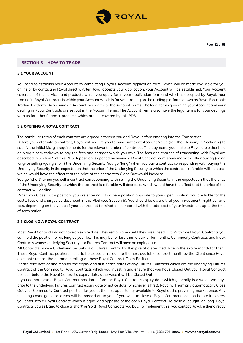

## **SECTION 3 – HOW TO TRADE**

## **3.1 YOUR ACCOUNT**

You need to establish your Account by completing Royal's Account application form, which will be made available for you online or by contacting Royal directly. After Royal accepts your application, your Account will be established. Your Account covers all of the services and products which you apply for in your application form and which is accepted by Royal. Your trading in Royal Contracts is within your Account which is for your trading on the trading platform known as Royal Electronic Trading Platform. By opening an Account, you agree to the Account Terms. The legal terms governing your Account and your dealing in Royal Contracts are set out in the Account Terms. The Account Terms also have the legal terms for your dealings with us for other financial products which are not covered by this PDS.

## **3.2 OPENING A ROYAL CONTRACT**

The particular terms of each contract are agreed between you and Royal before entering into the Transaction.

Before you enter into a contract, Royal will require you to have sufficient Account Value (see the Glossary in Section 7) to satisfy the Initial Margin requirements for the relevant number of contracts. The payments you make to Royal are either held as Margin or withdrawn to pay the fees and charges which you owe. The fees and charges of transacting with Royal are described in Section 5 of this PDS. A position is opened by buying a Royal Contract, corresponding with either buying (going long) or selling (going short) the Underlying Security. You go "long" when you buy a contract corresponding with buying the Underlying Security in the expectation that the price of the Underlying Security to which the contract is referable will increase, which would have the effect that the price of the contract to Close Out would increase.

You go "short" when you sell a contract corresponding with selling the Underlying Security in the expectation that the price of the Underlying Security to which the contract is referable will decrease, which would have the effect that the price of the contract will decline.

When you Close Out a position, you are entering into a new position opposite to your Open Position. You are liable for the costs, fees and charges as described in this PDS (see Section 5). You should be aware that your investment might suffer a loss, depending on the value of your contract at termination compared with the total cost of your investment up to the time of termination.

#### **3.3 CLOSING A ROYAL CONTRACT**

Most Royal Contracts do not have an expiry date. They remain open until they are Closed Out. With most Royal Contracts you can hold the position for as long as you like. This may be for less than a day, or for months. Commodity Contracts and Index Contracts whose Underlying Security is a Futures Contract will have an expiry date.

All Contracts whose Underlying Security is a Futures Contract will expire at a specified date in the expiry month for them. These Royal Contract positions need to be closed or rolled into the next available contract month by the Client since Royal does not support the automatic rolling of these Royal Contract Open Positions.

Please take note of and monitor the expiry and first notice dates of any Futures Contracts which are the underlying Futures Contract of the Commodity Royal Contracts which you invest in and ensure that you have Closed Out your Royal Contract position before the Royal Contract's expiry date, otherwise it will be Closed Out.

If you do not close a Royal Contract position before the Royal Contract's expiry date which generally is always two days prior to the underlying Futures Contract expiry date or notice date (whichever is first), Royal will normally automatically Close Out your Commodity Contract position for you at the first opportunity available to Royal at the prevailing market price. Any resulting costs, gains or losses will be passed on to you. If you wish to close a Royal Contracts position before it expires, you enter into a Royal Contract which is equal and opposite of the open Royal Contract. To close a 'bought' or 'long' Royal Contracts you sell, and to close a 'short' or 'sold' Royal Contracts you buy. To implement this, you contact Royal, either directly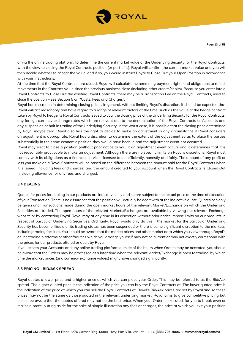

or via the online trading platform, to determine the current market value of the Underlying Security for the Royal Contracts, with the view to closing the Royal Contracts position (or part of it). Royal will confirm the current market value and you will then decide whether to accept the value, and if so, you would instruct Royal to Close Out your Open Position in accordance with your instructions.

At the time that the Royal Contracts are closed, Royal will calculate the remaining payment rights and obligations to reflect movements in the Contract Value since the previous business close (including other credits/debits). Because you enter into a Royal Contracts to Close Out the existing Royal Contracts, there may be a Transaction Fee on the Royal Contracts, used to close the position – see Section 5 on "Costs, Fees and Charges".

Royal has discretion in determining closing prices. In general, without limiting Royal's discretion, it should be expected that Royal will act reasonably and have regard to a range of relevant factors at the time, such as the value of the hedge contract taken by Royal to hedge its Royal Contracts issued to you, the closing price of the Underlying Security for the Royal Contracts, any foreign currency exchange rates which are relevant due to the denomination of the Royal Contracts or Accounts and any suspension or halt in trading of the Underlying Security. In the worst case, it is possible that the closing price determined by Royal maybe zero. Royal also has the right to decide to make an adjustment in any circumstance if Royal considers an adjustment is appropriate. Royal has a discretion to determine the extent of the adjustment so as to place the parties substantially in the same economic position they would have been in had the adjustment event not occurred.

Royal may elect to close a position (without prior notice to you) if an adjustment event occurs and it determines that it is not reasonably practicable to make an adjustment. Although there are no specific limits on Royal's discretions, Royal must comply with its obligations as a financial services licensee to act efficiently, honestly and fairly. The amount of any profit or loss you make on a Royal Contracts will be based on the difference between the amount paid for the Royal Contracts when it is issued (including fees and charges) and the amount credited to your Account when the Royal Contracts is Closed Out (including allowance for any fees and charges).

## **3.4 DEALING**

Quotes for prices for dealing in our products are indicative only and so are subject to the actual price at the time of execution of your Transaction. There is no assurance that the position will actually be dealt with at the indicative quote. Quotes can only be given and Transactions made during the open market hours of the relevant Market/Exchange on which the Underlying Securities are traded. The open hours of the relevant Markets/Exchanges are available by viewing the relevant Exchange website or by contacting Royal. Royal may at any time in its discretion without prior notice impose limits on our products in respect of particular Underlying Securities. Ordinarily, Royal would only do this if the market for the particular Underlying Security has become illiquid or its trading status has been suspended or there is some significant disruption to the markets, including trading facilities. You should be aware that the market prices and other market data which you view through Royal's online trading platforms or other facilities which you arrange yourself may not be current or may not exactly correspond with the prices for our products offered or dealt by Royal.

If you access your Accounts and any online trading platform outside of the hours when Orders may be accepted, you should be aware that the Orders may be processed at a later time when the relevant Market/Exchange is open to trading, by which time the market prices (and currency exchange values) might have changed significantly.

#### **3.5 PRICING - BID/ASK SPREAD**

Royal quotes a lower price and a higher price at which you can place your Order. This may be referred to as the Bid/Ask spread. The higher quoted price is the indication of the price you can buy the Royal Contracts at. The lower quoted price is the indication of the price at which you can sell the Royal Contracts at. Royal's Bid/Ask prices are set by Royal and so these prices may not be the same as those quoted in the relevant underlying market. Royal aims to give competitive pricing but please be aware that the quotes offered may not be the best price. When your Order is executed, for you to break even or realise a profit, putting aside for the sake of simple illustration any fees or charges, the price at which you exit your position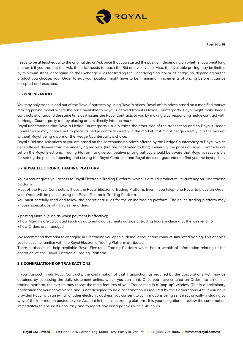

needs to be at least equal to the original Bid or Ask price that you started the position (depending on whether you went long or short); if you trade at the Ask, the price needs to reach the Bid and vice versa. Also, the available pricing may be limited by minimum steps, depending on the Exchange rules for trading the Underlying Security or its hedge, so, depending on the product you choose, your Order to exit your position might have to be in minimum increments of pricing before it can be accepted and executed.

## **3.6 PRICING MODEL**

You may only trade in and out of the Royal Contracts by using Royal's prices. Royal offers prices based on a modified market making pricing model where the price available to Royal is derived from its Hedge Counterparty. Royal might make hedge contracts at or around the same time as it issues the Royal Contracts to you by making a corresponding hedge contract with its Hedge Counterparty (not by placing orders directly into the market.

Royal understands that Royal's Hedge Counterparty usually takes the other side of the transaction and so Royal's Hedge Counterparty may choose not to place its hedge contacts directly in the market or it might hedge directly into the market, without Royal being aware of the Hedge Counterparty's choice.

Royal's Bid and Ask prices to you are based on the corresponding prices offered by the Hedge Counterparty to Royal, which generally are derived from the underlying markets (but are not limited to that). Generally the prices of Royal Contracts are set on the Royal Electronic Trading Platform to give competitive pricing but you should be aware that Royal is responsible for setting the prices of opening and closing the Royal Contracts and Royal does not guarantee to find you the best prices.

## **3.7 ROYAL ELECTRONIC TRADING PLATFORM**

Your Account gives you access to Royal Electronic Trading Platform, which is a multi-product multi-currency on- line trading platform.

Most of the Royal Contracts will use the Royal Electronic Trading Platform. Even if you telephone Royal to place an Order, your Order will be placed using the Royal Electronic Trading Platform.

You must carefully read and follow the operational rules for the online trading platform. The online trading platform may impose special operating rules regarding:

• posting Margin (such as when payment is effective);

• how Margins are calculated (such as automatic adjustments outside of trading hours, including at the weekend); or

• how Orders are managed.

We recommend that prior to engaging in live trading you open a "demo" account and conduct simulated trading. This enables you to become familiar with the Royal Electronic Trading Platform attributes.

There is also online help available Royal Electronic Trading Platform which has a wealth of information relating to the operation of the Royal Electronic Trading Platform.

#### **3.8 CONFRMATIONS OF TRANSACTIONS**

If you transact in our Royal Contracts, the confirmation of that Transaction, as required by the Corporations Act, may be obtained by accessing the daily statement online, which you can print. Once you have entered an Order into an online trading platform, the system may report the main features of your Transaction in a "pop-up" window. This is a preliminary notification for your convenience and is not designed to be a confirmation as required by the Corporations Act. If you have provided Royal with an e-mail or other electronic address, you consent to confirmations being sent electronically, including by way of the information posted to your Account in the online trading platform. It is your obligation to review the confirmation immediately to ensure its accuracy and to report any discrepancies within 48 hours.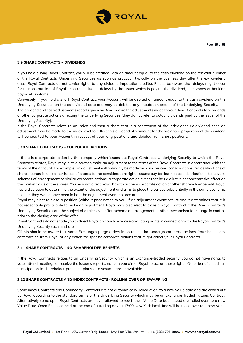

## **3.9 SHARE CONTRACTS – DIVIDENDS**

If you hold a long Royal Contract, you will be credited with an amount equal to the cash dividend on the relevant number of the Royal Contracts' Underlying Securities as soon as practical, typically on the business day after the ex- dividend date (Royal Contracts do not confer rights to any dividend imputation credits). Please be aware that delays might occur for reasons outside of Royal's control, including delays by the issuer which is paying the dividend, time zones or banking payment systems.

Conversely, if you hold a short Royal Contract, your Account will be debited an amount equal to the cash dividend on the Underlying Securities on the ex-dividend date and may be debited any imputation credits of the Underlying Security.

The dividend and cash adjustments reports given by Royal record the adjustments made to your Royal Contracts for dividends or other corporate actions affecting the Underlying Securities (they do not refer to actual dividends paid by the issuer of the Underlying Security).

If the Royal Contracts relate to an index and then a share that is a constituent of the index goes ex-dividend, then an adjustment may be made to the index level to reflect this dividend. An amount for the weighted proportion of the dividend will be credited to your Account in respect of your long positions and debited from short positions.

## **3.10 SHARE CONTRACTS – CORPORATE ACTIONS**

If there is a corporate action by the company which issues the Royal Contracts' Underlying Security to which the Royal Contracts relates, Royal may in its discretion make an adjustment to the terms of the Royal Contracts in accordance with the terms of the Account. For example, an adjustment will ordinarily be made for: subdivisions; consolidations; reclassifications of shares; bonus issues; other issues of shares for no consideration; rights issues; buy backs; in specie distributions; takeovers, schemes of arrangement or similar corporate actions; a corporate action event that has a dilutive or concentrative effect on the market value of the shares. You may not direct Royal how to act on a corporate action or other shareholder benefit. Royal has a discretion to determine the extent of the adjustment and aims to place the parties substantially in the same economic position they would have been in had the adjustment event not occurred.

Royal may elect to close a position (without prior notice to you) if an adjustment event occurs and it determines that it is not reasonably practicable to make an adjustment. Royal may also elect to close a Royal Contract if the Royal Contract's Underlying Securities are the subject of a take-over offer, scheme of arrangement or other mechanism for change in control, prior to the closing date of the offer.

Royal Contracts do not entitle you to direct Royal on how to exercise any voting rights in connection with the Royal Contract's Underlying Security such as shares.

Clients should be aware that some Exchanges purge orders in securities that undergo corporate actions. You should seek confirmation from Royal of any action for specific corporate actions that might affect your Royal Contracts.

## **3.11 SHARE CONTRACTS – NO SHAREHOLDER BENEFTS**

If the Royal Contracts relates to an Underlying Security which is an Exchange-traded security, you do not have rights to vote, attend meetings or receive the issuer's reports, nor can you direct Royal to act on those rights. Other benefits such as participation in shareholder purchase plans or discounts are unavailable.

## **3.12 SHARE CONTRACTS AND INDEX CONTRACTS- ROLLING OVER OR SWAPPING**

Some Index Contracts and Commodity Contracts are not automatically 'rolled over'' to a new value date and are closed out by Royal according to the standard terms of the Underlying Security which may be an Exchange Traded Futures Contract. Alternatively some open Royal Contracts are never allowed to reach their Value Date but instead are 'rolled over' to a new Value Date. Open Positions held at the end of a trading day at 17:00 New York local time will be rolled over to a new Value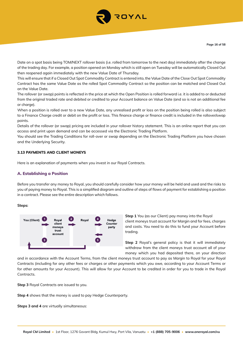

Date on a spot basis being TOM/NEXT rollover basis (i.e. rolled from tomorrow to the next day) immediately after the change of the trading day. For example, a position opened on Monday which is still open on Tuesday will be automatically Closed Out then reopened again immediately with the new Value Date of Thursday.

This will ensure that if a Closed Out Spot Commodity Contract is entered into, the Value Date of the Close Out Spot Commodity Contract has the same Value Date as the rolled Spot Commodity Contract so the position can be matched and Closed Out on the Value Date.

The rollover (or swap) points is reflected in the price at which the Open Position is rolled forward i.e. it is added to or deducted from the original traded rate and debited or credited to your Account balance on Value Date (and so is not an additional fee or charge).

When a position is rolled over to a new Value Date, any unrealised profit or loss on the position being rolled is also subject to a Finance Charge credit or debit on the profit or loss. This finance charge or finance credit is included in the rollover/swap points.

Details of the rollover (or swap) pricing are included in your rollover history statement. This is an online report that you can access and print upon demand and can be accessed via the Electronic Trading Platform.

You should see the Trading Conditions for roll-over or swap depending on the Electronic Trading Platform you have chosen and the Underlying Security.

## **3.13 PAYMENTS AND CLIENT MONEYS**

Here is an explanation of payments when you invest in our Royal Contracts.

## **A. Establishing a Position**

Before you transfer any money to Royal, you should carefully consider how your money will be held and used and the risks to you of paying money to Royal. This is a simplified diagram and outline of steps of flows of payment for establishing a position in a contract. Please see the entire description which follows.

**Steps:**



**Step 1** You (as our Client) pay money into the Royal client moneys trust account for Margin and for fees, charges and costs. You need to do this to fund your Account before trading.

**Step 2** Royal's general policy is that it will immediately withdraw from the client moneys trust account all of your money which you had deposited there, on your direction

and in accordance with the Account Terms, from the client moneys trust account to pay as Margin to Royal for your Royal Contracts (including for any other fees or charges or other payments which you owe, according to your Account Terms or for other amounts for your Account). This will allow for your Account to be credited in order for you to trade in the Royal Contracts.

**Step 3** Royal Contracts are issued to you.

**Step 4** shows that the money is used to pay Hedge Counterparty.

**Steps 3 and 4** are virtually simultaneous: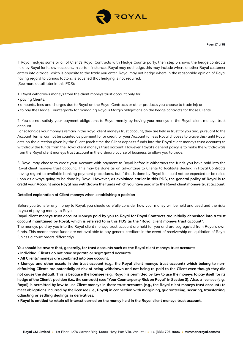

If Royal hedges some or all of Client's Royal Contracts with Hedge Counterparty, then step 5 shows the hedge contracts held by Royal for its own account. In certain instances Royal may not hedge, this may include where another Royal customer enters into a trade which is opposite to the trade you enter. Royal may not hedge where in the reasonable opinion of Royal having regard to various factors, is satisfied that hedging is not required. (See more detail later in this PDS):

1. Royal withdraws moneys from the client moneys trust account only for:

- paying Clients;
- amounts, fees and charges due to Royal on the Royal Contracts or other products you choose to trade in); or
- to pay the Hedge Counterparty for managing Royal's Margin obligations on the hedge contracts for those Clients.

2. You do not satisfy your payment obligations to Royal merely by having your moneys in the Royal client moneys trust account.

For so long as your money's remain in the Royal client moneys trust account, they are held in trust for you and, pursuant to the Account Terms, cannot be counted as payment for or credit for your Account (unless Royal chooses to waive this) until Royal acts on the direction given by the Client (each time the Client deposits funds into the Royal client moneys trust account) to withdraw the funds from the Royal client moneys trust account. However, Royal's general policy is to make the withdrawals from the Royal client moneys trust account in the ordinary course of business to allow you to trade.

3. Royal may choose to credit your Account with payment to Royal before it withdraws the funds you have paid into the Royal client moneys trust account. This may be done as an advantage to Clients to facilitate dealing in Royal Contracts having regard to available banking payment procedures, but if that is done by Royal it should not be expected or be relied upon as always going to be done by Royal. **However, as explained earlier in this PDS, the general policy of Royal is to credit your Account once Royal has withdrawn the funds which you have paid into the Royal client moneys trust account.** 

## **Detailed explanation of Client moneys when establishing a position**

Before you transfer any money to Royal, you should carefully consider how your money will be held and used and the risks to you of paying money to Royal.

**Royal client moneys trust account Moneys paid by you to Royal for Royal Contracts are initially deposited into a trust account maintained by Royal, which is referred to in this PDS as the "Royal client moneys trust account".**

The moneys paid by you into the Royal client moneys trust account are held for you and are segregated from Royal's own funds. This means those funds are not available to pay general creditors in the event of receivership or liquidation of Royal (unless a court orders differently).

**You should be aware that, generally, for trust accounts such as the Royal client moneys trust account:**

- **Individual Clients do not have separate or segregated accounts.**
- **All Clients' moneys are combined into one account.**

**• Moneys and other assets in the trust account (e.g., the Royal client moneys trust account) which belong to nondefaulting Clients are potentially at risk of being withdrawn and not being re-paid to the Client even though they did not cause the default. This is because the licensee (e.g., Royal) is permitted by law to use the moneys to pay itself for its hedge of the Client's position (i.e., the contract) (see "Your Counterparty Risk on Royal" in Section 3). Also, a licensee (e.g., Royal) is permitted by law to use Client moneys in these trust accounts (e.g., the Royal client moneys trust account) to meet obligations incurred by the licensee (i.e., Royal) in connection with margining, guaranteeing, securing, transferring, adjusting or settling dealings in derivatives.**

**• Royal is entitled to retain all interest earned on the money held in the Royal client moneys trust account.**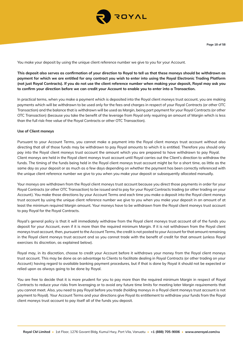

You make your deposit by using the unique client reference number we give to you for your Account.

**This deposit also serves as confirmation of your direction to Royal to tell us that these moneys should be withdrawn as payment for which we are entitled for any contract you wish to enter into using the Royal Electronic Trading Platform (not just Royal Contracts). If you do not use the client reference number when making your deposit, Royal may ask you to confirm your direction before we can credit your Account to enable you to enter into a Transaction.**

In practical terms, when you make a payment which is deposited into the Royal client moneys trust account, you are making payments which will be withdrawn to be used only for the fees and charges in respect of your Royal Contracts (or other OTC Transaction) and the balance that is withdrawn will be used as Margin, being part payment for your Royal Contracts (or other OTC Transaction) (because you take the benefit of the leverage from Royal only requiring an amount of Margin which is less than the full risk-free value of the Royal Contracts or other OTC Transaction).

## **Use of Client moneys**

Pursuant to your Account Terms, you cannot make a payment into the Royal client moneys trust account without also directing that all of those funds may be withdrawn to pay Royal amounts to which it is entitled. Therefore you should only pay into the Royal client moneys trust account the amount which you are prepared to have withdrawn to pay Royal. Client moneys are held in the Royal client moneys trust account until Royal carries out the Client's direction to withdraw the funds. The timing of the funds being held in the Royal client moneys trust account might be for a short time, as little as the same day as your deposit or as much as a few days depending on whether the payment has been correctly referenced with the unique client reference number we give to you when you make your deposit or subsequently allocated manually.

Your moneys are withdrawn from the Royal client moneys trust account because you direct those payments in order for your Royal Contracts (or other OTC Transaction) to be issued and to pay for your Royal Contracts trading (or other trading on your Account). You make those directions by your Account Terms and each time you make a deposit into the Royal client moneys trust account by using the unique client reference number we give to you when you make your deposit in an amount of at least the minimum required Margin amount. Your moneys have to be withdrawn from the Royal client moneys trust account to pay Royal for the Royal Contracts.

Royal's general policy is that it will immediately withdraw from the Royal client moneys trust account all of the funds you deposit for your Account, even if it is more than the required minimum Margin. If it is not withdrawn from the Royal client moneys trust account, then, pursuant to the Account Terms, the credit is not posted to your Account for that amount remaining in the Royal client moneys trust account and so you cannot trade with the benefit of credit for that amount (unless Royal exercises its discretion, as explained below).

Royal may, in its discretion, choose to credit your Account before it withdraws your money from the Royal client moneys trust account. This may be done as an advantage to Clients to facilitate dealing in Royal Contracts (or other trading on your Account) having regard to available banking payment procedures, but if that is done by Royal it should not be expected or relied upon as always going to be done by Royal.

You are free to decide that it is more prudent for you to pay more than the required minimum Margin in respect of Royal Contracts to reduce your risks from leveraging or to avoid any future time limits for meeting later Margin requirements that you cannot meet. Also, you need to pay Royal before you trade (holding moneys in a Royal client moneys trust account is not payment to Royal). Your Account Terms and your directions give Royal its entitlement to withdraw your funds from the Royal client moneys trust account to pay itself all of the funds you deposit.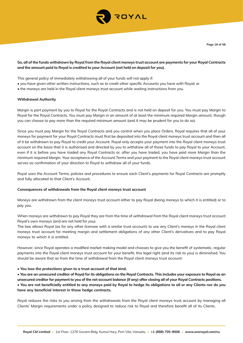

# **So, all of the funds withdrawn by Royal from the Royal client moneys trust account are payments for your Royal Contracts and the amount paid to Royal is credited to your Account (not held on deposit for you).**

This general policy of immediately withdrawing all of your funds will not apply if:

- you have given other written instructions, such as to credit other specific Accounts you have with Royal; or
- the moneys are held in the Royal client moneys trust account while waiting instructions from you.

## **Withdrawal Authority**

Margin is part payment by you to Royal for the Royal Contracts and is not held on deposit for you. You must pay Margin to Royal for the Royal Contracts. You must pay Margin in an amount of at least the minimum required Margin amount, though you can choose to pay more than the required minimum amount (and it may be prudent for you to do so).

Since you must pay Margin for the Royal Contracts and you control when you place Orders, Royal requires that all of your moneys for payment for your Royal Contracts must first be deposited into the Royal client moneys trust account and then all of it be withdrawn to pay Royal to credit your Account. Royal only accepts your payment into the Royal client moneys trust account on the basis that it is authorised and directed by you to withdraw all of those funds to pay Royal to your Account, even if it is before you have traded any Royal Contracts or, after you have traded, you have paid more Margin than the minimum required Margin. Your acceptance of the Account Terms and your payment to the Royal client moneys trust account serves as confirmation of your direction to Royal to withdraw all of your funds.

Royal uses the Account Terms, policies and procedures to ensure each Client's payments for Royal Contracts are promptly and fully allocated to that Client's Account.

#### **Consequences of withdrawals from the Royal client moneys trust account**

Moneys are withdrawn from the client moneys trust account either to pay Royal (being moneys to which it is entitled) or to pay you.

When moneys are withdrawn to pay Royal they are from the time of withdrawal from the Royal client moneys trust account Royal's own moneys (and are not held for you).

The law allows Royal (as for any other licensee with a similar trust account) to use any Client's moneys in the Royal client moneys trust account for meeting margin and settlement obligations of any other Client's derivatives and to pay Royal moneys to which it is entitled.

However, since Royal operates a modified market making model and chooses to give you the benefit of systematic, regular payments into the Royal client moneys trust account for your benefit, this legal right (and its risk to you) is diminished. You should be aware that as from the time of withdrawal from the Royal client moneys trust account:

#### **• You lose the protections given to a trust account of that kind.**

**• You are an unsecured creditor of Royal for its obligations on the Royal Contracts. This includes your exposure to Royal as an unsecured creditor for payment to you of the net account balance (if any) after closing all of your Royal Contracts positions. • You are not beneficially entitled to any moneys paid by Royal to hedge its obligations to all or any Clients nor do you have any beneficial interest in those hedge contracts.**

Royal reduces the risks to you arising from the withdrawals from the Royal client moneys trust account by managing all Clients' Margin requirements under a policy designed to reduce risk to Royal and therefore benefit all of its Clients.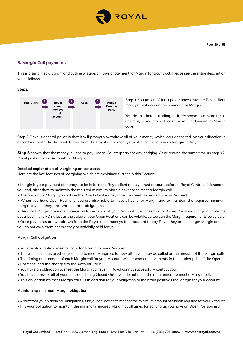

# **B. Margin Call payments**

This is a simplified diagram and outline of steps of flows of payment for Margin for a contract. Please see the entire description which follows.

**Steps:**



**Step 1** You (as our Client) pay moneys into the Royal client moneys trust account as payment for Margin.

You do this before trading, or in response to a Margin call or simply to maintain at least the required minimum Margin cover.

**Step 2** Royal's general policy is that it will promptly withdraw all of your money which was deposited, on your direction in accordance with the Account Terms, from the Royal client moneys trust account to pay as Margin to Royal.

**Step 3** shows that the money is used to pay Hedge Counterparty for any hedging. At or around the same time as step #2, Royal posts to your Account the Margin.

## **Detailed explanation of Margining on contracts**

Here are the key features of Margining which are explained further in this Section:

- Margin is your payment of moneys to be held in the Royal client moneys trust account before a Royal Contract is issued to you and, after that, to maintain the required minimum Margin cover or to meet a Margin call.
- The amount of Margin you hold in the Royal client moneys trust account is credited to your Account
- When you have Open Positions, you are also liable to meet all calls for Margin and to maintain the required minimum margin cover – they are two separate obligations.

• Required Margin amounts change with the value of your Account. It is based on all Open Positions (not just contracts described in this PDS). Just as the value of your Open Positions can be volatile, so too can the Margin requirements be volatile. • Once payments are withdrawn from the Royal client moneys trust account to pay Royal they are no longer Margin and so you do not own them nor are they beneficially held for you.

## **Margin Call obligation**

- You are also liable to meet all calls for Margin for your Account.
- There is no limit as to when you need to meet Margin calls, how often you may be called or the amount of the Margin calls.
- The timing and amount of each Margin call for your Account will depend on movements in the market price of the Open
- Positions, and the changes to the Account Value.
- You have an obligation to meet the Margin call even if Royal cannot successfully contact you.
- You have a risk of all of your contracts being Closed Out if you do not meet the requirement to meet a Margin call.
- This obligation (to meet Margin calls) is in addition to your obligation to maintain positive Free Margin for your account

#### **Maintaining minimum Margin obligation**

- Apart from your Margin call obligations, it is your obligation to monitor the minimum amount of Margin required for your Account.
- It is your obligation to maintain the minimum required Margin at all times for so long as you have an Open Position in a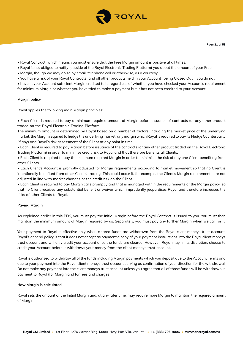

- Royal Contract, which means you must ensure that the Free Margin amount is positive at all times.
- Royal is not obliged to notify (outside of the Royal Electronic Trading Platform) you about the amount of your Free
- Margin, though we may do so by email, telephone call or otherwise, as a courtesy.
- You have a risk of your Royal Contracts (and all other products held in your Account) being Closed Out if you do not
- have in your Account sufficient Margin credited to it, regardless of whether you have checked your Account's requirement for minimum Margin or whether you have tried to make a payment but it has not been credited to your Account.

## **Margin policy**

Royal applies the following main Margin principles:

• Each Client is required to pay a minimum required amount of Margin before issuance of contracts (or any other product traded on the Royal Electronic Trading Platform).

The minimum amount is determined by Royal based on a number of factors, including the market price of the underlying market, the Margin required to hedge the underlying market, any margin which Royal is required to pay its Hedge Counterparty (if any) and Royal's risk assessment of the Client at any point in time.

• Each Client is required to pay Margin before issuance of the contracts (or any other product traded on the Royal Electronic Trading Platform) in order to minimise credit risk to Royal and that therefore benefits all Clients.

• Each Client is required to pay the minimum required Margin in order to minimise the risk of any one Client benefiting from other Clients.

• Each Client's Account is promptly adjusted for Margin requirements according to market movement so that no Client is intentionally benefited from other Clients' trading. This could occur if, for example, the Client's Margin requirements are not adjusted in line with market changes or the credit risk on the Client.

• Each Client is required to pay Margin calls promptly and that is managed within the requirements of the Margin policy, so that no Client receives any substantial benefit or waiver which imprudently jeopardises Royal and therefore increases the risks of other Clients to Royal.

## **Paying Margin**

As explained earlier in this PDS, you must pay the Initial Margin before the Royal Contract is issued to you. You must then maintain the minimum amount of Margin required by us. Separately, you must pay any further Margin when we call for it.

Your payment to Royal is effective only when cleared funds are withdrawn from the Royal client moneys trust account. Royal's general policy is that it does not accept as payment a copy of your payment instructions into the Royal client moneys trust account and will only credit your account once the funds are cleared. However, Royal may, in its discretion, choose to credit your Account before it withdraws your money from the client moneys trust account.

Royal is authorised to withdraw all of the funds including Margin payments which you deposit due to the Account Terms and due to your payment into the Royal client moneys trust account serving as confirmation of your direction for the withdrawal. Do not make any payment into the client moneys trust account unless you agree that all of those funds will be withdrawn in payment to Royal (for Margin and for fees and charges).

#### **How Margin is calculated**

Royal sets the amount of the Initial Margin and, at any later time, may require more Margin to maintain the required amount of Margin.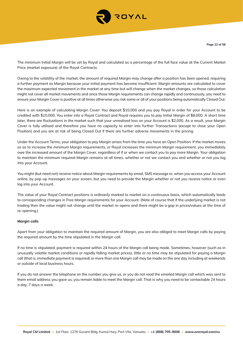

The minimum Initial Margin will be set by Royal and calculated as a percentage of the full face value at the Current Market Price (market exposure) of the Royal Contracts.

Owing to the volatility of the market, the amount of required Margin may change after a position has been opened, requiring a further payment as Margin because your initial payment has become insufficient. Margin amounts are calculated to cover the maximum expected movement in the market at any time but will change when the market changes, so those calculation might not cover all market movements and since those Margin requirements can change rapidly and continuously, you need to ensure your Margin Cover is positive at all times otherwise you risk some or all of your positions being automatically Closed Out.

Here is an example of calculating Margin Cover: You deposit \$10,000 and you pay Royal in order for your Account to be credited with \$10,000. You enter into a Royal Contract and Royal requires you to pay Initial Margin of \$8,000. A short time later, there are fluctuations in the market such that your unrealised loss on your Account is \$2,000. As a result, your Margin Cover is fully utilised and therefore you have no capacity to enter into further Transactions (except to close your Open Position) and you are at risk of being Closed Out if there are further adverse movements in the pricing.

Under the Account Terms, your obligation to pay Margin arises from the time you have an Open Position. If the market moves so as to increase the minimum Margin requirements, or Royal increases the minimum Margin requirement, you immediately owe the increased amount of the Margin Cover, regardless of if or when we contact you to pay more Margin. Your obligation to maintain the minimum required Margin remains at all times, whether or not we contact you and whether or not you log into your Account.

You might (but need not) receive notice about Margin requirements by email, SMS message or, when you access your Account online, by pop-up messages on your screen, but you need to provide the Margin whether or not you receive notice or even log into your Account.

The value of your Royal Contract positions is ordinarily marked to market on a continuous basis, which automatically leads to corresponding changes in Free Margin requirements for your Account. (Note of course that if the underlying market is not trading then the value might not change until the market re-opens and there might be a gap in prices/values at the time of re-opening.)

#### **Margin calls**

Apart from your obligation to maintain the required amount of Margin, you are also obliged to meet Margin calls by paying the required amount by the time stipulated in the Margin call.

If no time is stipulated, payment is required within 24 hours of the Margin call being made. Sometimes, however (such as in unusually volatile market conditions or rapidly falling market prices), little or no time may be stipulated for paying a Margin call (that is, immediate payment is required) or more than one Margin call may be made on the one day including at weekends or outside of local business hours.

If you do not answer the telephone on the number you give us, or you do not read the emailed Margin call which was sent to them email address you gave us, you remain liable to meet the Margin call. That is why you need to be contactable 24 hours a day, 7 days a week.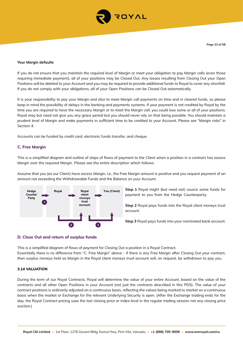

#### **Your Margin defaults**

If you do not ensure that you maintain the required level of Margin or meet your obligation to pay Margin calls (even those requiring immediate payment), all of your positions may be Closed Out. Any losses resulting from Closing Out your Open Positions will be debited to your Account and you may be required to provide additional funds to Royal to cover any shortfall. If you do not comply with your obligations, all of your Open Positions can be Closed Out automatically.

It is your responsibility to pay your Margin and also to meet Margin call payments on time and in cleared funds, so please keep in mind the possibility of delays in the banking and payments systems. If your payment is not credited by Royal by the time you are required to have the necessary Margin or to meet the Margin call, you could lose some or all of your positions. Royal may but need not give you any grace period but you should never rely on that being possible. You should maintain a prudent level of Margin and make payments in sufficient time to be credited to your Account. Please see "Margin risks" in Section 4.

Accounts can be funded by credit card, electronic funds transfer, and cheque.

## **C. Free Margin**

This is a simplified diagram and outline of steps of flows of payment to the Client when a position in a contract has excess Margin over the required Margin. Please see the entire description which follows.

Assume that you (as our Client) have excess Margin, i.e., the Free Margin amount is positive and you request payment of an amount not exceeding the Withdrawable Funds and the Balance on your Account.



**Step 1** Royal might (but need not) source some funds for payment to you from the Hedge Counterparty.

**Step 2** Royal pays funds into the Royal client moneys trust account.

**Step 3** Royal pays funds into your nominated bank account.

#### **D. Close Out and return of surplus funds**

This is a simplified diagram of flows of payment for Closing Out a position in a Royal Contract. Essentially there is no difference from "C. Free Margin" above – if there is any Free Margin after Closing Out your contract, then surplus moneys held as Margin in the Royal client moneys trust account will, on request, be withdrawn to pay you.

#### **3.14 VALUATION**

During the term of our Royal Contracts, Royal will determine the value of your entire Account, based on the value of the contracts and all other Open Positions in your Account (not just the contracts described in this PDS). The value of your contract positions is ordinarily adjusted on a continuous basis, reflecting the values being marked to market on a continuous basis when the market or Exchange for the relevant Underlying Security is open. (After the Exchange trading ends for the day, the Royal Contract pricing uses the last closing price or index level in the regular trading session not any closing price auction.)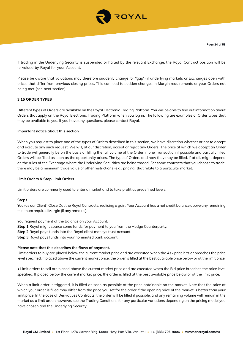

If trading in the Underlying Security is suspended or halted by the relevant Exchange, the Royal Contract position will be re-valued by Royal for your Account.

Please be aware that valuations may therefore suddenly change (or "gap") if underlying markets or Exchanges open with prices that differ from previous closing prices. This can lead to sudden changes in Margin requirements or your Orders not being met (see next section).

## **3.15 ORDER TYPES**

Different types of Orders are available on the Royal Electronic Trading Platform. You will be able to find out information about Orders that apply on the Royal Electronic Trading Platform when you log in. The following are examples of Order types that may be available to you. If you have any questions, please contact Royal.

#### **Important notice about this section**

When you request to place one of the types of Orders described in this section, we have discretion whether or not to accept and execute any such request. We will, at our discretion, accept or reject any Orders. The price at which we accept an Order to trade will generally be on the basis of filling the full volume of the Order in one Transaction if possible and partially filled Orders will be filled as soon as the opportunity arises. The type of Orders and how they may be filled, if at all, might depend on the rules of the Exchange where the Underlying Securities are being traded. For some contracts that you choose to trade, there may be a minimum trade value or other restrictions (e.g., pricing) that relate to a particular market.

#### **Limit Orders & Stop Limit Orders**

Limit orders are commonly used to enter a market and to take profit at predefined levels.

#### **Steps**

You (as our Client) Close Out the Royal Contracts, realising a gain. Your Account has a net credit balance above any remaining minimum required Margin (if any remains).

You request payment of the Balance on your Account.

**Step 1** Royal might source some funds for payment to you from the Hedge Counterparty.

**Step 2** Royal pays funds into the Royal client moneys trust account.

**Step 3** Royal pays funds into your nominated bank account.

## **Please note that this describes the flows of payment.**

Limit orders to buy are placed below the current market price and are executed when the Ask price hits or breaches the price level specified. If placed above the current market price, the order is filled at the best available price below or at the limit price.

• Limit orders to sell are placed above the current market price and are executed when the Bid price breaches the price level specified. If placed below the current market price, the order is filled at the best available price below or at the limit price.

When a limit order is triggered, it is filled as soon as possible at the price obtainable on the market. Note that the price at which your order is filled may differ from the price you set for the order if the opening price of the market is better than your limit price. In the case of Derivatives Contracts, the order will be filled if possible, and any remaining volume will remain in the market as a limit order; however, see the Trading Conditions for any particular variations depending on the pricing model you have chosen and the Underlying Security.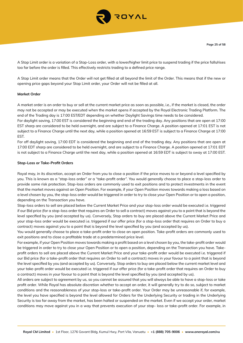

A Stop Limit order is a variation of a Stop-Loss order, with a lower/higher limit price to suspend trading if the price falls/rises too far before the order is filled. This effectively restricts trading to a defined price range.

A Stop Limit order means that the Order will not get filled at all beyond the limit of the Order. This means that if the new or opening price gaps beyond your Stop Limit order, your Order will not be filled at all.

#### **Market Order**

A market order is an order to buy or sell at the current market price as soon as possible, i.e., if the market is closed, the order may not be accepted or may be executed when the market opens if accepted by the Royal Electronic Trading Platform. The end of the Trading day is 17:00 EST/EDT depending on whether Daylight Savings time needs to be considered.

For daylight saving, 17:00 EST is considered the beginning and end of the trading day. Any positions that are open at 17:00 EST sharp are considered to be held overnight, and are subject to a Finance Charge. A position opened at 17:01 EST is not subject to a Finance Charge until the next day, while a position opened at 16:59 EST is subject to a Finance Charge at 17:00 EST.

For off daylight saving, 17:00 EDT is considered the beginning and end of the trading day. Any positions that are open at 17:00 EDT sharp are considered to be held overnight, and are subject to a Finance Charge. A position opened at 17:01 EDT is not subject to a Finance Charge until the next day, while a position opened at 16:59 EDT is subject to sway at 17:00 EST.

#### **Stop-Loss or Take-Profit Orders**

Royal may, in its discretion, accept an Order from you to close a position if the price moves to or beyond a level specified by you. This is known as a "stop-loss order" or a "take-profit order". You would generally choose to place a stop-loss order to provide some risk protection. Stop-loss orders are commonly used to exit positions and to protect investments in the event that the market moves against an Open Position. For example, if your Open Position moves towards making a loss based on a level chosen by you, the stop-loss order would be triggered in order to try to close your Open Position or to open a position, depending on the Transaction you have.

Stop-loss orders to sell are placed below the Current Market Price and your stop-loss order would be executed i.e. triggered if our Bid price (for a stop-loss order that requires an Order to sell a contract) moves against you to a point that is beyond the level specified by you (and accepted by us). Conversely, Stop orders to buy are placed above the Current Market Price and your stop-loss order would be executed i.e. triggered if our offer price (for a stop-loss order that requires an Order to buy a contract) moves against you to a point that is beyond the level specified by you (and accepted by us).

You would generally choose to place a take-profit order to close an open position. Take-profit orders are commonly used to exit positions and to close a profitable trade at a predetermined price level.

For example, if your Open Position moves towards making a profit based on a level chosen by you, the take-profit order would be triggered in order to try to close your Open Position or to open a position, depending on the Transaction you have. Takeprofit orders to sell are placed above the Current Market Price and your take-profit order would be executed i.e. triggered if our Bid price (for a take-profit order that requires an Order to sell a contract) moves in your favour to a point that is beyond the level specified by you (and accepted by us). Conversely, Stop orders to buy are placed below the current market level and your take-profit order would be executed i.e. triggered if our offer price (for a take-profit order that requires an Order to buy a contract) moves in your favour to a point that is beyond the level specified by you (and accepted by us).

All orders are subject to agreement by us, so you cannot be assured that you will always be able to have a stop-loss or take profit order. While Royal has absolute discretion whether to accept an order, it will generally try to do so, subject to market conditions and the reasonableness of your stop-loss or take-profit order. Your Order may be unreasonable if, for example, the level you have specified is beyond the level allowed for Orders for the Underlying Security or trading in the Underlying Security is too far away from the market, has been halted or suspended on the market. Even if we accept your order, market conditions may move against you in a way that prevents execution of your stop- loss or take-profit order. For example, in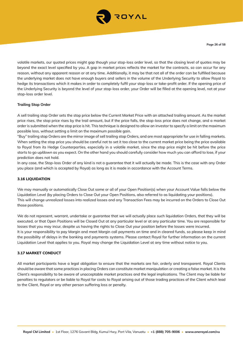

volatile markets, our quoted prices might gap though your stop-loss order level, so that the closing level of quotes may be beyond the exact level specified by you. A gap in market prices reflects the market for the contracts, so can occur for any reason, without any apparent reason or at any time. Additionally, it may be that not all of the order can be fulfilled because the underlying market does not have enough buyers and sellers in the volume of the Underlying Security to allow Royal to hedge its transactions which it makes in order to completely fulfil your stop-loss or take-profit order. If the opening price of the Underlying Security is beyond the level of your stop-loss order, your Order will be filled at the opening level, not at your stop-loss order level.

## **Trailing Stop Order**

A sell trailing stop Order sets the stop price below the Current Market Price with an attached trailing amount. As the market price rises, the stop price rises by the trail amount, but if the price falls, the stop-loss price does not change, and a market order is submitted when the stop price is hit. This technique is designed to allow an investor to specify a limit on the maximum possible loss, without setting a limit on the maximum possible gain.

"Buy" trailing stop Orders are the mirror image of sell trailing stop Orders, and are most appropriate for use in falling markets. When setting the stop price you should be careful not to set it too close to the current market price being the price available to Royal from its Hedge Counterparties, especially in a volatile market, since the stop price might be hit before the price starts to go up/down as you expect. On the other hand you should carefully consider how much you can afford to lose, if your prediction does not hold.

In any case, the Stop-loss Order of any kind is not a guarantee that it will actually be made. This is the case with any Order you place (and which is accepted by Royal) as long as it is made in accordance with the Account Terms.

## **3.16 LIQUIDATION**

We may manually or automatically Close Out some or all of your Open Position(s) when your Account Value falls below the Liquidation Level (by placing Orders to Close Out your Open Positions, also referred to as liquidating your positions). This will change unrealized losses into realized losses and any Transaction Fees may be incurred on the Orders to Close Out those positions.

We do not represent, warrant, undertake or guarantee that we will actually place such liquidation Orders, that they will be executed, or that Open Positions will be Closed Out at any particular level or at any particular time. You are responsible for losses that you may incur, despite us having the rights to Close Out your position before the losses were incurred. It is your responsibility to pay Margin and meet Margin call payments on time and in cleared funds, so please keep in mind the possibility of delays in the banking and payments systems. Please contact Royal for further information on the current Liquidation Level that applies to you. Royal may change the Liquidation Level at any time without notice to you.

## **3.17 MARKET CONDUCT**

All market participants have a legal obligation to ensure that the markets are fair, orderly and transparent. Royal Clients should be aware that some practices in placing Orders can constitute market manipulation or creating a false market. It is the Client's responsibility to be aware of unacceptable market practices and the legal implications. The Client may be liable for penalties to regulators or be liable to Royal for costs to Royal arising out of those trading practices of the Client which lead to the Client, Royal or any other person suffering loss or penalty.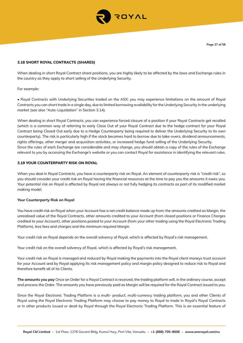

## **3.18 SHORT ROYAL CONTRACTS (SHARES)**

When dealing in short Royal Contract share positions, you are highly likely to be affected by the laws and Exchange rules in the country as they apply to short selling of the Underlying Security.

## For example:

• Royal Contracts with Underlying Securities traded on the ASX: you may experience limitations on the amount of Royal Contracts you can short trade in a single day, due to limited borrowing availability for the Underlying Security in the underlying market (see also "Auto-Liquidation" in Section 3.14).

When dealing in short Royal Contracts, you can experience forced closure of a position if your Royal Contracts get recalled (which is a common way of referring to early Close Out of your Royal Contract due to the hedge contract for your Royal Contract being Closed Out early due to a Hedge Counterparty being required to deliver the Underlying Security to its own counterparty). The risk is particularly high if the stock becomes hard to borrow due to take-overs, dividend announcements, rights offerings, other merger and acquisition activities, or increased hedge fund selling of the Underlying Security. Since the rules of each Exchange are considerable and may change, you should obtain a copy of the rules of the Exchange relevant to you by accessing the Exchange's website or you can contact Royal for assistance in identifying the relevant rules.

## **3.19 YOUR COUNTERPARTY RISK ON ROYAL**

When you deal in Royal Contracts, you have a counterparty risk on Royal. An element of counterparty risk is "credit risk", so you should consider your credit risk on Royal having the financial resources at the time to pay you the amounts it owes you. Your potential risk on Royal is affected by Royal not always or not fully hedging its contracts as part of its modified market making model.

## **Your Counterparty Risk on Royal**

You have credit risk on Royal when your Account has a net credit balance made up from; the amounts credited as Margin, the unrealised value of the Royal Contracts, other amounts credited to your Account (from closed positions or Finance Charges credited to your Account), other positions posted to your Account (from your other trading using the Royal Electronic Trading Platform), less fees and charges and the minimum required Margin.

Your credit risk on Royal depends on the overall solvency of Royal, which is affected by Royal's risk management.

Your credit risk on the overall solvency of Royal, which is affected by Royal's risk management.

Your credit risk on Royal is managed and reduced by Royal making the payments into the Royal client moneys trust account for your Account and by Royal applying its risk management policy and margin policy designed to reduce risk to Royal and therefore benefit all of its Clients.

**The amounts you pay** Once an Order for a Royal Contract is received, the trading platform will, in the ordinary course, accept and process the Order. The amounts you have previously paid as Margin will be required for the Royal Contract issued to you.

Since the Royal Electronic Trading Platform is a multi- product, multi-currency trading platform, you and other Clients of Royal using the Royal Electronic Trading Platform may choose to pay money to Royal to trade in Royal's Royal Contracts or in other products issued or dealt by Royal through the Royal Electronic Trading Platform. This is an essential feature of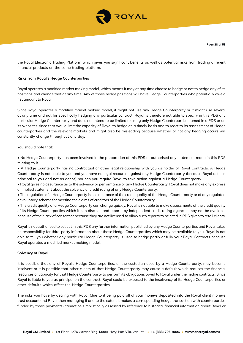

the Royal Electronic Trading Platform which gives you significant benefits as well as potential risks from trading different financial products on the same trading platform.

## **Risks from Royal's Hedge Counterparties**

Royal operates a modified market making model, which means it may at any time choose to hedge or not to hedge any of its positions and change that at any time. Any of those hedge positions will have Hedge Counterparties who potentially owe a net amount to Royal.

Since Royal operates a modified market making model, it might not use any Hedge Counterparty or it might use several at any time and not for specifically hedging any particular contract. Royal is therefore not able to specify in this PDS any particular Hedge Counterparty and does not intend to be limited to using only Hedge Counterparties named in a PDS or on its websites since that would limit the capacity of Royal to hedge on a timely basis and to react to its assessment of Hedge counterparties and the relevant markets and might also be misleading because whether or not any hedging occurs will constantly change throughout any day.

## You should note that:

• No Hedge Counterparty has been involved in the preparation of this PDS or authorised any statement made in this PDS relating to it.

• A Hedge Counterparty has no contractual or other legal relationship with you as holder of Royal Contracts. A Hedge Counterparty is not liable to you and you have no legal recourse against any Hedge Counterparty (because Royal acts as principal to you and not as agent) nor can you require Royal to take action against a Hedge Counterparty.

• Royal gives no assurance as to the solvency or performance of any Hedge Counterparty. Royal does not make any express or implied statement about the solvency or credit rating of any Hedge Counterparty.

• The regulation of a Hedge Counterparty is no assurance of the credit quality of the Hedge Counterparty or of any regulated or voluntary scheme for meeting the claims of creditors of the Hedge Counterparty.

• The credit quality of a Hedge Counterparty can change quickly. Royal is not able to make assessments of the credit quality of its Hedge Counterparties which it can disclose and reports by independent credit rating agencies may not be available because of their lack of consent or because they are not licensed to allow such reports to be cited in PDS given to retail clients.

Royal is not authorised to set out in this PDS any further information published by any Hedge Counterparties and Royal takes no responsibility for third-party information about those Hedge Counterparties which may be available to you. Royal is not able to tell you whether any particular Hedge Counterparty is used to hedge partly or fully your Royal Contracts because Royal operates a modified market making model.

## **Solvency of Royal**

It is possible that any of Royal's Hedge Counterparties, or the custodian used by a Hedge Counterparty, may become insolvent or it is possible that other clients of that Hedge Counterparty may cause a default which reduces the financial resources or capacity for that Hedge Counterparty to perform its obligations owed to Royal under the hedge contracts. Since Royal is liable to you as principal on the contract, Royal could be exposed to the insolvency of its Hedge Counterparties or other defaults which affect the Hedge Counterparties.

The risks you have by dealing with Royal (due to it being paid all of your moneys deposited into the Royal client moneys trust account and Royal then managing if and to the extent it makes a corresponding hedge transaction with counterparties funded by those payments) cannot be simplistically assessed by reference to historical financial information about Royal or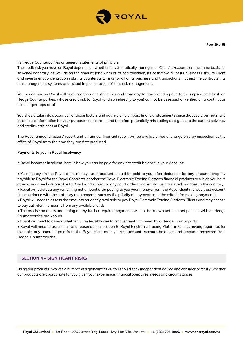

its Hedge Counterparties or general statements of principle.

The credit risk you have on Royal depends on whether it systematically manages all Client's Accounts on the same basis, its solvency generally, as well as on the amount (and kind) of its capitalisation, its cash flow, all of its business risks, its Client and investment concentration risks, its counterparty risks for all of its business and transactions (not just the contracts), its risk management systems and actual implementation of that risk management.

Your credit risk on Royal will fluctuate throughout the day and from day to day, including due to the implied credit risk on Hedge Counterparties, whose credit risk to Royal (and so indirectly to you) cannot be assessed or verified on a continuous basis or perhaps at all.

You should take into account all of those factors and not rely only on past financial statements since that could be materially incomplete information for your purposes, not current and therefore potentially misleading as a guide to the current solvency and creditworthiness of Royal.

The Royal annual directors' report and an annual financial report will be available free of charge only by inspection at the office of Royal from the time they are first produced.

#### **Payments to you in Royal Insolvency**

If Royal becomes insolvent, here is how you can be paid for any net credit balance in your Account:

- Your moneys in the Royal client moneys trust account should be paid to you, after deduction for any amounts properly payable to Royal for the Royal Contracts or other the Royal Electronic Trading Platform financial products or which you have otherwise agreed are payable to Royal (and subject to any court orders and legislative mandated priorities to the contrary).
- Royal will owe you any remaining net amount after paying to you your moneys from the Royal client moneys trust account (in accordance with the statutory requirements, such as the priority of payments and the criteria for making payments).
- Royal will need to assess the amounts prudently available to pay Royal Electronic Trading Platform Clients and may choose to pay out interim amounts from any available funds.
- The precise amounts and timing of any further required payments will not be known until the net position with all Hedge Counterparties are known.
- Royal will need to assess whether it can feasibly sue to recover anything owed by a Hedge Counterparty.

• Royal will need to assess fair and reasonable allocation to Royal Electronic Trading Platform Clients having regard to, for example, any amounts paid from the Royal client moneys trust account, Account balances and amounts recovered from Hedge Counterparties.

## **SECTION 4 – SIGNIFICANT RISKS**

Using our products involves a number of significant risks. You should seek independent advice and consider carefully whether our products are appropriate for you given your experience, financial objectives, needs and circumstances.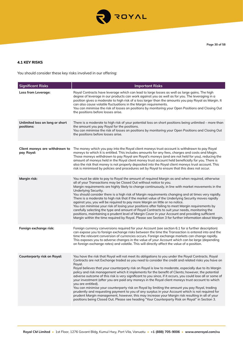

# **4.1 KEY RISKS**

You should consider these key risks involved in our offering:

| <b>Significant Risks</b>                      | <b>Important Risks</b>                                                                                                                                                                                                                                                                                                                                                                                                                                                                                                                                                                                                                                                                                                                                                                                                                                                                                                                                                                                                                                                             |
|-----------------------------------------------|------------------------------------------------------------------------------------------------------------------------------------------------------------------------------------------------------------------------------------------------------------------------------------------------------------------------------------------------------------------------------------------------------------------------------------------------------------------------------------------------------------------------------------------------------------------------------------------------------------------------------------------------------------------------------------------------------------------------------------------------------------------------------------------------------------------------------------------------------------------------------------------------------------------------------------------------------------------------------------------------------------------------------------------------------------------------------------|
| Loss from Leverage:                           | Royal Contracts have leverage which can lead to large losses as well as large gains. The high<br>degree of leverage in our products can work against you as well as for you. The leveraging in a<br>position gives a moderate to high risk of a loss larger than the amounts you pay Royal as Margin. It<br>can also cause volatile fluctuations in the Margin requirements.<br>You can minimise the risk of losses on positions by monitoring your Open Positions and Closing Out<br>the positions before losses arise.                                                                                                                                                                                                                                                                                                                                                                                                                                                                                                                                                           |
| Unlimited loss on long or short<br>positions: | There is a moderate to high risk of your potential loss on short positions being unlimited - more than<br>the amount you pay Royal for the positions.<br>You can minimise the risk of losses on positions by monitoring your Open Positions and Closing Out<br>the positions before losses arise.                                                                                                                                                                                                                                                                                                                                                                                                                                                                                                                                                                                                                                                                                                                                                                                  |
| Client moneys are withdrawn to<br>pay Royal:  | The money which you pay into the Royal client moneys trust account is withdrawn to pay Royal<br>moneys to which it is entitled. This includes amounts for any fees, charges and costs and Magin.<br>Those moneys withdrawn to pay Royal are Royal's moneys (and are not held for you), reducing the<br>amount of moneys held in the Royal client money trust account held beneficially for you. There is<br>also the risk that money is not properly deposited into the Royal client moneys trust account. This<br>risk is minimised by policies and procedures set by Royal to ensure that this does not occur.                                                                                                                                                                                                                                                                                                                                                                                                                                                                   |
| Margin risk:                                  | You must be able to pay to Royal the amount of required Margin as and when required, otherwise<br>all of your Transactions may be Closed Out without notice to you.<br>Margin requirements are highly likely to change continuously, in line with market movements in the<br>Underlying Security.<br>You should consider there is a high risk of Margin requirements changing and at times very rapidly.<br>There is a moderate to high risk that if the market value of the Underlying Security moves rapidly<br>against you, you will be required to pay more Margin on little or no notice.<br>You can minimise your risk of losing your positions after failing to meet Margin requirements by<br>carefully selecting the type and amount of Royal Contracts to suit your needs, monitoring the<br>positions, maintaining a prudent level of Margin Cover in your Account and providing sufficient<br>Margin within the time required by Royal. Please see Section 3 for further information about Margin.                                                                     |
| Foreign exchange risk:                        | Foreign currency conversions required for your Account (see section 6.1 for a further description)<br>can expose you to foreign exchange risks between the time the Transaction is entered into and the<br>time the relevant conversion of currencies occurs. Foreign exchange markets can change rapidly.<br>This exposes you to adverse changes in the value of your Account which can be large (depending<br>on foreign exchange rates) and volatile. This will directly affect the value of a position.                                                                                                                                                                                                                                                                                                                                                                                                                                                                                                                                                                        |
| <b>Counterparty risk on Royal:</b>            | You have the risk that Royal will not meet its obligations to you under the Royal Contracts. Royal<br>Contracts are not Exchange traded so you need to consider the credit and related risks you have on<br>Royal.<br>Royal believes that your counterparty risk on Royal is low to moderate, especially due to its Margin<br>policy and risk management which it implements for the benefit of Clients; however, the potential<br>adverse outcome of this risk is very significant to you since, if it occurs, you could lose all or some of<br>your investment (after you are paid any moneys in the Royal client moneys trust account to which<br>you are entitled).<br>You can minimise your counterparty risk on Royal by limiting the amount you pay Royal, trading<br>prudently and requesting payment to you of any surplus in your Account which is not required for<br>prudent Margin management, however, this may increase your Margin risk resulting in all of your<br>positions being Closed Out. Please see heading "Your Counterparty Risk on Royal" in Section 3. |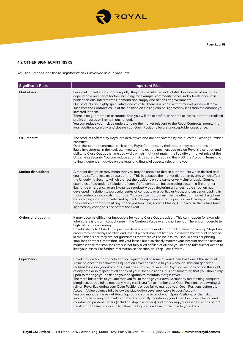

# **4.2 OTHER SIGNIFCANT RISKS**

You should consider these significant risks involved in our products:

| <b>Significant Risks</b>   | <b>Important Risks</b>                                                                                                                                                                                                                                                                                                                                                                                                                                                                                                                                                                                                                                                                                                                                                                                                                                                                                                                                                                                                                                                                                                                                                                                                                                                                                              |
|----------------------------|---------------------------------------------------------------------------------------------------------------------------------------------------------------------------------------------------------------------------------------------------------------------------------------------------------------------------------------------------------------------------------------------------------------------------------------------------------------------------------------------------------------------------------------------------------------------------------------------------------------------------------------------------------------------------------------------------------------------------------------------------------------------------------------------------------------------------------------------------------------------------------------------------------------------------------------------------------------------------------------------------------------------------------------------------------------------------------------------------------------------------------------------------------------------------------------------------------------------------------------------------------------------------------------------------------------------|
| Market risk:               | Financial markets can change rapidly; they are speculative and volatile. Prices even of securities<br>depend on a number of factors including, for example, commodity prices, index levels or central<br>bank decisions, interest rates, demand and supply and actions of governments.<br>Our products are highly speculative and volatile. There is a high risk that market prices will move<br>such that the Contract Value of the position on closing can be significantly less than the amount you<br>invested in them.<br>There is no guarantee or assurance that you will make profits, or not make losses, or that unrealised<br>profits or losses will remain unchanged.<br>You can reduce your risk by understanding the market relevant to the Royal Contracts, monitoring<br>your positions carefully and closing your Open Positions before unacceptable losses arise.                                                                                                                                                                                                                                                                                                                                                                                                                                  |
| OTC market:                | The products offered by Royal are derivatives and are not covered by the rules for Exchange-traded<br>contracts.<br>Over-the-counter contracts, such as the Royal Contracts, by their nature may not at times be<br>liquid investments in themselves. If you want to exit the position, you rely on Royal's discretion and<br>ability to Close Out at the time you wish, which might not match the liquidity or market price of the<br>Underlying Security. You can reduce your risk by carefully reading this PDS, the Account Terms and<br>taking independent advice on the legal and financial aspects relevant to you.                                                                                                                                                                                                                                                                                                                                                                                                                                                                                                                                                                                                                                                                                          |
| <b>Market disruptions:</b> | A market disruption may mean that you may be unable to deal in our products when desired and<br>you may suffer a loss as a result of that. This is because the market disruption events which affect<br>the Underlying Security will also affect the positions on the same or very similar basis. Common<br>examples of disruptions include the "crash" of a computer-based trading system, a fire or other<br>Exchange emergency, or an Exchange regulatory body declaring an undesirable situation has<br>developed in relation to particular series of contracts or a particular trade, and suspends trading in<br>those contracts or cancels that trade. You can attempt to minimise the effect of market disruptions<br>by obtaining information released by the Exchange relevant to the position and taking action after<br>the event as appropriate (if any) to the position held, such as Closing Out because the values have<br>significantly changed since before the event.                                                                                                                                                                                                                                                                                                                             |
| Orders and gapping:        | It may become difficult or impossible for you to Close Out a position. This can happen for example,<br>when there is a significant change in the Contract Value over a short period. There is a moderate to<br>high risk of this occurring.<br>Royal's ability to Close Out a position depends on the market for the Underlying Security. Stop- loss<br>orders may not always be filled and, even if placed, may not limit your losses to the amount specified<br>in the Order, since they are not guarantees that there will be no loss. You should consider placing<br>stop-loss or other Orders that limit your losses but also closely monitor your Account and the relevant<br>market in case the stop-loss order is not fully filled or filled at all and you need to take further action to<br>limit your losses. For further information, see section on "Stop-Loss Orders".                                                                                                                                                                                                                                                                                                                                                                                                                                |
| <b>Liquidation:</b>        | Royal may without prior notice to you liquidate all or some of your Open Positions if the Account<br>Value balance falls below the Liquidation Level applicable to your Account. This can generate<br>realised losses in your Account. Royal does not assure you that Royal will actually act on this right,<br>at any time or in respect of all or any of your Open Positions. It is not something that you should rely<br>upon to manage your risk and your obligation to maintain Margin cover.<br>The more basic risks to you are that you fail to manage your own Account by maintaining adequate<br>Margin cover, you fail to meet any Margin call, you fail to monitor your Open Positions, you (wrongly)<br>rely on Royal liquidating your Open Positions or you fail to manage your Open Positions before the<br>Account Value balance falls below the Liquidation Level applicable to your Account.<br>You can manage the risk of Royal liquidating some or all of your Open Positions, or the risk of<br>you wrongly relying on Royal to do this, by carefully monitoring your Open Positions, placing and<br>maintaining prudent Orders (including stop loss orders) and managing your Open Positions before<br>the Account Value balance falls below the Liquidation Level applicable to your Account. |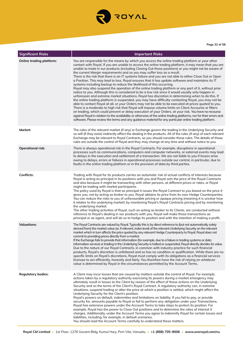

| <b>Significant Risks</b>        | <b>Important Risks</b>                                                                                                                                                                                                                                                                                                                                                                                                                                                                                                                                                                                                                                                                                                                                                                                                                                                                                                                                                                                                                                                                                                                                                                                                                                                                                                                                                                                                                                                                                                                                                                                                                                                |
|---------------------------------|-----------------------------------------------------------------------------------------------------------------------------------------------------------------------------------------------------------------------------------------------------------------------------------------------------------------------------------------------------------------------------------------------------------------------------------------------------------------------------------------------------------------------------------------------------------------------------------------------------------------------------------------------------------------------------------------------------------------------------------------------------------------------------------------------------------------------------------------------------------------------------------------------------------------------------------------------------------------------------------------------------------------------------------------------------------------------------------------------------------------------------------------------------------------------------------------------------------------------------------------------------------------------------------------------------------------------------------------------------------------------------------------------------------------------------------------------------------------------------------------------------------------------------------------------------------------------------------------------------------------------------------------------------------------------|
| <b>Online trading platform:</b> | You are responsible for the means by which you access the online trading platform or your other<br>contact with Royal. If you are unable to access the online trading platform, it may mean that you are<br>unable to trade in our products (including Closing Out those positions) or you might not be aware of<br>the current Margin requirements and so you may suffer loss as a result.<br>There is the risk that there is an IT systems failure and you are not able to either Close Out or Open<br>a Position. This may lead to loss. Royal ensures that it has update software and maintains its IT<br>systems including backup to reduce the likelihood of this occurring.<br>Royal may also suspend the operation of the online trading platform or any part of it, without prior<br>notice to you. Although this is considered to be a low risk since it would usually only happen in<br>unforeseen and extreme market situations, Royal has discretion in determining when to do this. If<br>the online trading platform is suspended, you may have difficulty contacting Royal, you may not be<br>able to contact Royal at all, or your Orders may not be able to be executed at prices quoted to you.<br>There is a moderate to high risk that Royal will impose volume limits on Client Accounts or filters<br>on trading, which could prevent or delay execution of your Orders, at your risk. You have no recourse<br>against Royal in relation to the availability or otherwise of the online trading platforms, nor for their errors and<br>software. Please review the terms and any guidance material for any particular online trading platform. |
| Market:                         | The rules of the relevant market (if any) or Exchange govern the trading in the Underlying Security and<br>so will (if they exist) indirectly affect the dealing in the products. All of the rules (if any) of each relevant<br>Exchange may be relevant to Royal Contracts, so you should consider those rules. The details of those<br>rules are outside the control of Royal and they may change at any time and without notice to you.                                                                                                                                                                                                                                                                                                                                                                                                                                                                                                                                                                                                                                                                                                                                                                                                                                                                                                                                                                                                                                                                                                                                                                                                                            |
| <b>Operational risk:</b>        | There is always operational risk in the Royal Contracts. For example, disruptions in operational<br>processes such as communications, computers and computer networks, or external events may lead<br>to delays in the execution and settlement of a transaction. We are not liable to you if losses arise<br>owing to delays, errors or failures in operational processes outside our control, in particular, due to<br>faults in the online trading platform or in the provision of data by third parties.                                                                                                                                                                                                                                                                                                                                                                                                                                                                                                                                                                                                                                                                                                                                                                                                                                                                                                                                                                                                                                                                                                                                                          |
| <b>Conflicts:</b>               | Trading with Royal for its products carries an automatic risk of actual conflicts of interests because<br>Royal is acting as principal in its positions with you and Royal sets the price of the Royal Contracts<br>and also because it might be transacting with other persons, at different prices or rates, or Royal<br>might be trading with market participants.<br>The policy used by Royal is that as principal it issues the Royal Contract to you based on the price it<br>gives you, not by acting as broker to you. Royal obtains its price from its own Hedge Counterparties.<br>You can reduce the risks to you of unfavourable pricing or opaque pricing (meaning it is unclear how<br>it relates to the underlying market) by monitoring Royal's Royal Contracts pricing and by monitoring<br>the underlying market.<br>The other trading activities of Royal, such as acting as broker to its Clients, are conducted without<br>reference to Royal's dealing in our products with you. Royal will make those transactions as<br>principal or as agent, and will do so to hedge its position and with the intention of making a profit.                                                                                                                                                                                                                                                                                                                                                                                                                                                                                                                |
| <b>Valuations:</b>              | The Royal Contracts are valued by Royal. Typically this is by direct reference to (but not automatically solely<br>derived from) the market value (or, if relevant, index level) of the relevant Underlying Security on the relevant<br>market which in turn affects the price quoted by any relevant Hedge Counterparty to Royal. Royal does not<br>commit to providing prices directly from a market.<br>If the Exchange fails to provide that information (for example, due to a failure in trading systems or data<br>information service) or trading in the Underlying Security is halted or suspended, Royal directly decides its value.<br>Due to the nature of our Royal Contracts, in common with industry practice for such financial<br>products, Royal's discretion is unfettered and so has no condition or qualification. While there are no<br>specific limits on Royal's discretions, Royal must comply with its obligations as a financial services<br>licensee to act efficiently, honestly and fairly. You therefore have the risk of relying on whatever<br>value is determined by Royal in the circumstances permitted by the Account Terms.                                                                                                                                                                                                                                                                                                                                                                                                                                                                                                     |
| <b>Regulatory bodies:</b>       | A Client may incur losses that are caused by matters outside the control of Royal. For example,<br>actions taken by a regulatory authority exercising its powers during a market emergency may<br>ultimately result in losses to the Client by reason of the effect of those actions on the Underlying<br>Security and so the terms of the Client's Royal Contract. A regulatory authority can, in extreme<br>situations, suspend trading or alter the price at which a position is settled, which might affect the<br>Underlying Security for the Client's position.<br>Royal's powers on default, indemnities and limitations on liability: If you fail to pay, or provide<br>security for, amounts payable to Royal or fail to perform any obligation under your Transactions,<br>Royal has extensive powers under the Account Terms to take steps to protect its position. For<br>example, Royal has the power to Close Out positions and to determine the rates of interest it<br>charges. Additionally, under the Account Terms you agree to indemnify Royal for certain losses and<br>liabilities, including, for example, in default scenarios.<br>You should read the Account Terms carefully to understand these matters.                                                                                                                                                                                                                                                                                                                                                                                                                                   |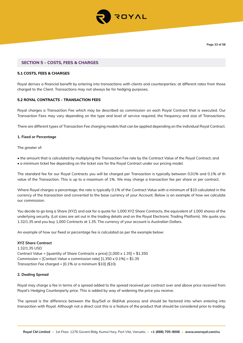

## **SECTION 5 – COSTS, FEES & CHARGES**

## **5.1 COSTS, FEES & CHARGES**

Royal derives a financial benefit by entering into transactions with clients and counterparties; at different rates from those charged to the Client. Transactions may not always be for hedging purposes.

## **5.2 ROYAL CONTRACTS - TRANSACTION FEES**

Royal charges a Transaction Fee which may be described as commission on each Royal Contract that is executed. Our Transaction Fees may vary depending on the type and level of service required, the frequency and size of Transactions.

There are different types of Transaction Fee charging models that can be applied depending on the individual Royal Contract.

## **1. Fixed or Percentage**

The greater of:

• the amount that is calculated by multiplying the Transaction Fee rate by the Contract Value of the Royal Contract; and

• a minimum ticket fee depending on the ticket size for the Royal Contract under our pricing model.

The standard fee for our Royal Contracts you will be charged per Transaction is typically between 0.01% and 0.1% of th value of the Transaction. This is up to a maximum of 1%. We may charge a transaction fee per share or per contract.

Where Royal charges a percentage; the rate is typically 0.1% of the Contract Value with a minimum of \$10 calculated in the currency of the transaction and converted to the base currency of your Account. Below is an example of how we calculate our commission.

You decide to go long a Share (XYZ) and ask for a quote for 1,000 XYZ Share Contracts, the equivalent of 1,000 shares of the underlying security. (Lot sizes are set out in the trading details and on the Royal Electronic Trading Platform). We quote you 1.32/1.35 and you buy 1,000 Contracts at 1.35. The currency of your account is Australian Dollars.

An example of how our fixed or percentage fee is calculated as per the example below:

#### **XYZ Share Contract**

1.32/1.35 USD Contract Value = [quantity of Share Contracts x price]  $[1,000 \times 1.35] = $1,350$ Commission = [Contact Value x commission rate]  $[1,350 \times 0.1\%] = $1.35$ Transaction Fee charged = [0.1% or a minimum \$10] (\$10)

#### **2. Dealing Spread**

Royal may charge a fee in terms of a spread added to the spread received per contract over and above price received from Royal's Hedging Counterparty price. This is added by way of widening the price you receive.

The spread is the difference between the Buy/Sell or Bid/Ask process and should be factored into when entering into transaction with Royal. Although not a direct cost this is a feature of the product that should be considered prior to trading.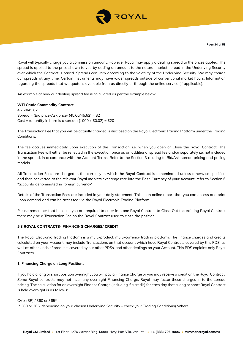

Royal will typically charge you a commission amount. However Royal may apply a dealing spread to the prices quoted. The spread is applied to the price shown to you by adding an amount to the natural market spread in the Underlying Security over which the Contract is based. Spreads can vary according to the volatility of the Underlying Security. We may charge our spreads at any time. Certain instruments may have wider spreads outside of conventional market hours. Information regarding the spreads that we quote is available from us directly or through the online service (if applicable).

An example of how our dealing spread fee is calculated as per the example below:

## **WTI Crude Commodity Contract**

45.60/45.62 Spread = (Bid price-Ask price) (45.60/45.62) = \$2 Cost = (quantity in barrels x spread)  $(1000 \times $0.02) = $20$ 

The Transaction Fee that you will be actually charged is disclosed on the Royal Electronic Trading Platform under the Trading Conditions.

The fee accrues immediately upon execution of the Transaction, i.e. when you open or Close the Royal Contract. The Transaction Fee will either be reflected in the execution price as an additional spread fee and/or separately i.e. not included in the spread, in accordance with the Account Terms. Refer to the Section 3 relating to Bid/Ask spread pricing and pricing models.

All Transaction Fees are charged in the currency in which the Royal Contract is denominated unless otherwise specified and then converted at the relevant Royal markets exchange rate into the Base Currency of your Account, refer to Section 6 "accounts denominated in foreign currency"

Details of the Transaction Fees are included in your daily statement. This is an online report that you can access and print upon demand and can be accessed via the Royal Electronic Trading Platform.

Please remember that because you are required to enter into one Royal Contract to Close Out the existing Royal Contract there may be a Transaction Fee on the Royal Contract used to close the position.

## **5.3 ROYAL CONTRACTS- FINANCING CHARGES/ CREDIT**

The Royal Electronic Trading Platform is a multi-product, multi-currency trading platform. The finance charges and credits calculated on your Account may include Transactions on that account which have Royal Contracts covered by this PDS, as well as other kinds of products covered by our other PDSs, and other dealings on your Account. This PDS explains only Royal Contracts

## **1. Financing Charge on Long Positions**

If you hold a long or short position overnight you will pay a Finance Charge or you may receive a credit on the Royal Contract. Some Royal contracts may not incur any overnight Financing Charge. Royal may factor these charges in to the spread pricing. The calculation for an overnight Finance Charge (including if a credit) for each day that a long or short Royal Contract is held overnight is as follows:

#### CV x (BR) / 360 or 365\*

(\* 360 or 365, depending on your chosen Underlying Security – check your Trading Conditions) Where: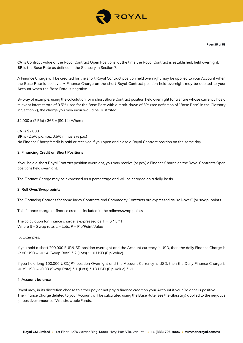

**CV** is Contract Value of the Royal Contract Open Positions, at the time the Royal Contract is established, held overnight. **BR** is the Base Rate as defined in the Glossary in Section 7.

A Finance Charge will be credited for the short Royal Contract position held overnight may be applied to your Account when the Base Rate is positive. A Finance Charge on the short Royal Contract position held overnight may be debited to your Account when the Base Rate is negative.

By way of example, using the calculation for a short Share Contract position held overnight for a share whose currency has a relevant interest rate of 0.5% used for the Base Rate with a mark-down of 3% (see definition of "Base Rate" in the Glossary in Section 7), the charge you may incur would be illustrated:

 $$2,000 \times (2.5\%)$  / 365 = (\$0.14) Where:

**CV** is \$2,000 **BR** is -2.5% p.a. (i.e., 0.5% minus 3% p.a.) No Finance Charge/credit is paid or received if you open and close a Royal Contract position on the same day.

## **2. Financing Credit on Short Positions**

If you hold a short Royal Contract position overnight, you may receive (or pay) a Finance Charge on the Royal Contracts Open positions held overnight.

The Finance Charge may be expressed as a percentage and will be charged on a daily basis.

#### **3. Roll Over/Swap points**

The Financing Charges for some Index Contracts and Commodity Contracts are expressed as "roll-over" (or swap) points.

This finance charge or finance credit is included in the rollover/swap points.

The calculation for finance charge is expressed as:  $F = S * L * P$ Where  $S =$  Swap rate;  $L =$  Lots;  $P =$  Pip/Point Value

FX Examples:

If you hold a short 200,000 EUR/USD position overnight and the Account currency is USD, then the daily Finance Charge is -2.80 USD = -0.14 (Swap Rate) \* 2 (Lots) \* 10 USD (Pip Value)

If you hold long 100,000 USD/JPY position Overnight and the Account Currency is USD, then the Daily Finance Charge is -0.39 USD = -0.03 (Swap Rate) \* 1 (Lots) \* 13 USD (Pip Value) \* -1

#### **4. Account balance**

Royal may, in its discretion choose to either pay or not pay a finance credit on your Account if your Balance is positive. The Finance Charge debited to your Account will be calculated using the Base Rate (see the Glossary) applied to the negative (or positive) amount of Withdrawable Funds.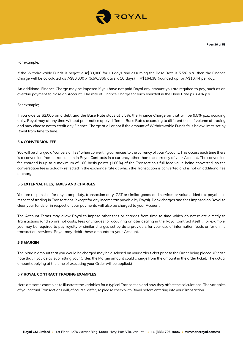

For example;

If the Withdrawable Funds is negative A\$80,000 for 10 days and assuming the Base Rate is 5.5% p.a., then the Finance Charge will be calculated as A\$80,000 x (5.5%/365 days x 10 days) = A\$164.38 (rounded up) or A\$16.44 per day.

An additional Finance Charge may be imposed if you have not paid Royal any amount you are required to pay, such as an overdue payment to close an Account. The rate of Finance Charge for such shortfall is the Base Rate plus 4% p.a.

For example;

If you owe us \$2,000 on a debt and the Base Rate stays at 5.5%, the Finance Charge on that will be 9.5% p.a., accruing daily. Royal may at any time without prior notice apply different Base Rates according to different tiers of volume of trading and may choose not to credit any Finance Charge at all or not if the amount of Withdrawable Funds falls below limits set by Royal from time to time.

## **5.4 CONVERSION FEE**

You will be charged a "conversion fee" when converting currencies to the currency of your Account. This occurs each time there is a conversion from a transaction in Royal Contracts in a currency other than the currency of your Account. The conversion fee charged is up to a maximum of 100 basis points (1.00%) of the Transaction's full face value being converted, so the conversation fee is actually reflected in the exchange rate at which the Transaction is converted and is not an additional fee or charge.

#### **5.5 EXTERNAL FEES, TAXES AND CHARGES**

You are responsible for any stamp duty, transaction duty, GST or similar goods and services or value added tax payable in respect of trading in Transactions (except for any income tax payable by Royal). Bank charges and fees imposed on Royal to clear your funds or in respect of your payments will also be charged to your Account.

The Account Terms may allow Royal to impose other fees or charges from time to time which do not relate directly to Transactions (and so are not costs, fees or charges for acquiring or later dealing in the Royal Contract itself). For example, you may be required to pay royalty or similar charges set by data providers for your use of information feeds or for online transaction services. Royal may debit these amounts to your Account.

## **5.6 MARGIN**

The Margin amount that you would be charged may be disclosed on your order ticket prior to the Order being placed. (Please note that if you delay submitting your Order, the Margin amount could change from the amount in the order ticket. The actual amount applying at the time of executing your Order will be applied.)

## **5.7 ROYAL CONTRACT TRADING EXAMPLES**

Here are some examples to illustrate the variables for a typical Transaction and how they affect the calculations. The variables of your actual Transactions will, of course, differ, so please check with Royal before entering into your Transaction.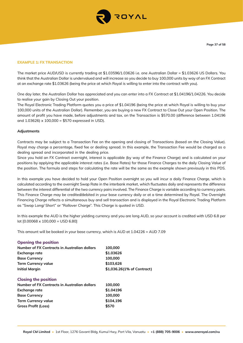

## **EXAMPLE 1: FX TRANSACTION**

The market price AUD/USD is currently trading at \$1.03596/1.03626 i.e. one Australian Dollar = \$1.03626 US Dollars. You think that the Australian Dollar is undervalued and will increase so you decide to buy 100,000 units by way of an FX Contract at an exchange rate \$1.03626 (being the price at which Royal is willing to enter into the contract with you).

One day later, the Australian Dollar has appreciated and you can enter into a FX Contract at \$1.04196/1.04226. You decide to realise your gain by Closing Out your position.

The Royal Electronic Trading Platform quotes you a price of \$1.04196 (being the price at which Royal is willing to buy your 100,000 units of the Australian Dollar). Remember, you are buying a new FX Contract to Close Out your Open Position. The amount of profit you have made, before adjustments and tax, on the Transaction is \$570.00 (difference between 1.04196 and  $1.03626$ ) x  $100,000 = $570$  expressed in USD).

#### **Adjustments**

Contracts may be subject to a Transaction Fee on the opening and closing of Transactions (based on the Closing Value). Royal may charge a percentage, fixed fee or dealing spread. In this example, the Transaction Fee would be charged as a dealing spread and incorporated in the dealing price.

Since you hold an FX Contract overnight, interest is applicable (by way of the Finance Charge) and is calculated on your positions by applying the applicable interest rates (i.e. Base Rates) for those Finance Charges to the daily Closing Value of the position. The formula and steps for calculating the rate will be the same as the example shown previously in this PDS.

In this example you have decided to hold your Open Position overnight so you will incur a daily Finance Charge, which is calculated according to the overnight Swap Rate in the interbank market, which fluctuates daily and represents the difference between the interest differential of the two currency pairs involved. The Finance Charge is variable according to currency pairs. This Finance Charge may be credited/debited in your base currency daily or at a time determined by Royal. The Overnight Financing Charge reflects a simultaneous buy and sell transaction and is displayed in the Royal Electronic Trading Platform as "Swap Long/ Short" or "Rollover Charge". This Charge is quoted in USD.

In this example the AUD is the higher yielding currency and you are long AUD, so your account is credited with USD 6.8 per lot [0.00068 x 100,000 = USD 6.80]

This amount will be booked in your base currency, which is AUD at 1.04226 = AUD 7.09

| 100,000                    |
|----------------------------|
| \$1,03626                  |
| 100,000                    |
| \$103,626                  |
| \$1,036.26(1% of Contract) |
|                            |
| 100,000                    |
| \$1,04196                  |
| 100,000                    |
| \$104,196                  |
| \$570                      |
|                            |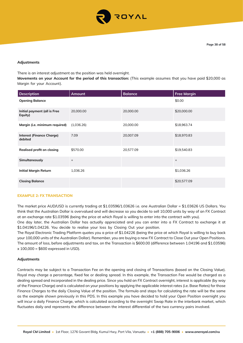

#### **Adjustments**

There is an interest adjustment as the position was held overnight.

**Movements on your Account for the period of this transaction:** (This example assumes that you have paid \$20,000 as Margin for your Account).

| <b>Description</b>                          | Amount     | <b>Balance</b> | <b>Free Margin</b> |
|---------------------------------------------|------------|----------------|--------------------|
| <b>Opening Balance</b>                      |            |                | \$0.00             |
| Initial payment (all is Free<br>Equity)     | 20,000.00  | 20,000.00      | \$20,000.00        |
| Margin (i.e. minimum required)              | (1,036.26) | 20,000.00      | \$18,963.74        |
| <b>Interest (Finance Charge)</b><br>debited | 7.09       | 20,007.09      | \$18,970.83        |
| <b>Realised profit on closing</b>           | \$570.00   | 20,577.09      | \$19,540.83        |
| Simultaneously                              | $\ddot{}$  |                | $+$                |
| <b>Initial Margin Return</b>                | 1,036.26   |                | \$1,036.26         |
| <b>Closing Balance</b>                      |            |                | \$20,577.09        |

#### **EXAMPLE 2: FX TRANSACTION**

The market price AUD/USD is currently trading at \$1.03596/1.03626 i.e. one Australian Dollar = \$1.03626 US Dollars. You think that the Australian Dollar is overvalued and will decrease so you decide to sell 10,000 units by way of an FX Contract at an exchange rate \$1.03596 (being the price at which Royal is willing to enter into the contract with you).

One day later, the Australian Dollar has actually appreciated and you can enter into a FX Contract to exchange it at \$1.04196/1.04226. You decide to realise your loss by Closing Out your position.

The Royal Electronic Trading Platform quotes you a price of \$1.04226 (being the price at which Royal is willing to buy back your 100,000 units of the Australian Dollar). Remember, you are buying a new FX Contract to Close Out your Open Positions. The amount of loss, before adjustments and tax, on the Transaction is \$600.00 (difference between 1.04196 and \$1.03596)  $x 100,000 = $600$  expressed in USD).

#### **Adjustments**

Contracts may be subject to a Transaction Fee on the opening and closing of Transactions (based on the Closing Value). Royal may charge a percentage, fixed fee or dealing spread. In this example, the Transaction Fee would be charged as a dealing spread and incorporated in the dealing price. Since you hold an FX Contract overnight, interest is applicable (by way of the Finance Charge) and is calculated on your positions by applying the applicable interest rates (i.e. Base Rates) for those Finance Charges to the daily Closing Value of the position. The formula and steps for calculating the rate will be the same as the example shown previously in this PDS. In this example you have decided to hold your Open Position overnight you will incur a daily Finance Charge, which is calculated according to the overnight Swap Rate in the interbank market, which fluctuates daily and represents the difference between the interest differential of the two currency pairs involved.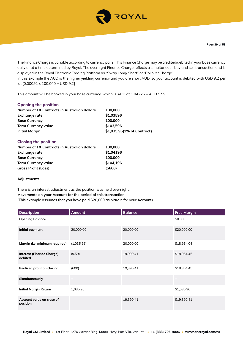

The Finance Charge is variable according to currency pairs. This Finance Charge may be credited/debited in your base currency daily or at a time determined by Royal. The overnight Finance Charge reflects a simultaneous buy and sell transaction and is displayed in the Royal Electronic Trading Platform as "Swap Long/ Short" or "Rollover Charge". In this example the AUD is the higher yielding currency and you are short AUD, so your account is debited with USD 9.2 per lot [0.00092 x 100,000 = USD 9.2]

This amount will be booked in your base currency, which is AUD at 1.04226 = AUD 9.59

# **Opening the position**

| Number of FX Contracts in Australian dollars | 100,000                    |
|----------------------------------------------|----------------------------|
| <b>Exchange rate</b>                         | \$1,03596                  |
| <b>Base Currency</b>                         | 100,000                    |
| <b>Term Currency value</b>                   | \$103,596                  |
| <b>Initial Margin</b>                        | \$1,035.96(1% of Contract) |
|                                              |                            |

## **Closing the position**

| Number of FX Contracts in Australian dollars | 100,000   |
|----------------------------------------------|-----------|
| Exchange rate                                | \$1.04196 |
| <b>Base Currency</b>                         | 100,000   |
| <b>Term Currency value</b>                   | \$104,196 |
| <b>Gross Profit (Loss)</b>                   | ( \$600)  |

#### **Adjustments**

# There is an interest adjustment as the position was held overnight. **Movements on your Account for the period of this transaction:**

(This example assumes that you have paid \$20,000 as Margin for your Account).

| <b>Description</b>                          | Amount            | <b>Balance</b> | <b>Free Margin</b> |
|---------------------------------------------|-------------------|----------------|--------------------|
| <b>Opening Balance</b>                      |                   |                | \$0.00             |
| Initial payment                             | 20,000.00         | 20,000.00      | \$20,000.00        |
| Margin (i.e. minimum required)              | (1,035.96)        | 20,000.00      | \$18,964.04        |
| <b>Interest (Finance Charge)</b><br>debited | (9.59)            | 19,990.41      | \$18,954.45        |
| <b>Realised profit on closing</b>           | (600)             | 19,390.41      | \$18,354.45        |
| Simultaneously                              | $\qquad \qquad +$ |                | $\ddot{}$          |
| <b>Initial Margin Return</b>                | 1,035.96          |                | \$1,035.96         |
| Account value on close of<br>position       |                   | 19,390.41      | \$19,390.41        |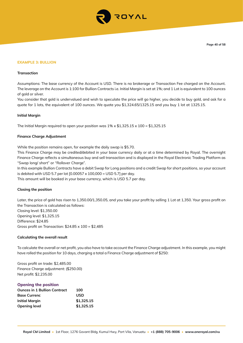

#### **EXAMPLE 3: BULLION**

#### **Transaction**

Assumptions: The base currency of the Account is USD. There is no brokerage or Transaction Fee charged on the Account. The leverage on the Account is 1:100 for Bullion Contracts i.e. Initial Margin is set at 1%; and 1 Lot is equivalent to 100 ounces of gold or silver.

You consider that gold is undervalued and wish to speculate the price will go higher, you decide to buy gold, and ask for a quote for 1 lots, the equivalent of 100 ounces. We quote you \$1,324.65/1325.15 and you buy 1 lot at 1325.15.

#### **Initial Margin**

The Initial Margin required to open your position was  $1\% \times 1.325.15 \times 100 = $1,325.15$ 

#### **Finance Charge Adjustment**

While the position remains open, for example the daily swap is \$5.70.

This Finance Charge may be credited/debited in your base currency daily or at a time determined by Royal. The overnight Finance Charge reflects a simultaneous buy and sell transaction and is displayed in the Royal Electronic Trading Platform as "Swap long/ short" or "Rollover Charge".

In this example Bullion Contracts have a debit Swap for Long positions and a credit Swap for short positions, so your account is debited with USD 5.7 per lot [0.00057 x 100,000 = USD 5.7] per day.

This amount will be booked in your base currency, which is USD 5.7 per day.

#### **Closing the position**

Later, the price of gold has risen to 1,350.00/1,350.05, and you take your profit by selling 1 Lot at 1,350. Your gross profit on the Transaction is calculated as follows: Closing level: \$1,350.00 Opening level: \$1,325.15 Difference: \$24.85 Gross profit on Transaction:  $$24.85 \times 100 = $2,485$ 

#### **Calculating the overall result**

To calculate the overall or net profit, you also have to take account the Finance Charge adjustment. In this example, you might have rolled the position for 10 days, charging a total a Finance Charge adjustment of \$250:

Gross profit on trade: \$2,485.00 Finance Charge adjustment: (\$250.00) Net profit: \$2,235.00

#### **Opening the position**

| <b>Ounces in 1 Bullion Contract</b> | 100        |
|-------------------------------------|------------|
| <b>Base Currenc</b>                 | <b>USD</b> |
| Initial Margin                      | \$1,325.15 |
| <b>Opening level</b>                | \$1,325,15 |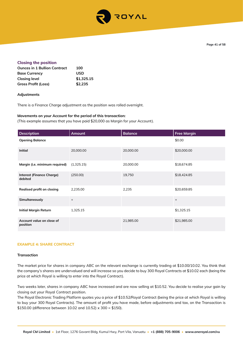

## **Closing the position**

| <b>Ounces in 1 Bullion Contract</b> | 100        |
|-------------------------------------|------------|
| <b>Base Currency</b>                | <b>USD</b> |
| <b>Closing level</b>                | \$1,325.15 |
| Gross Profit (Loss)                 | \$2,235    |

## **Adjustments**

There is a Finance Charge adjustment as the position was rolled overnight.

## **Movements on your Account for the period of this transaction:**

(This example assumes that you have paid \$20,000 as Margin for your Account).

| <b>Description</b>                          | Amount            | <b>Balance</b> | <b>Free Margin</b> |
|---------------------------------------------|-------------------|----------------|--------------------|
| <b>Opening Balance</b>                      |                   |                | \$0.00             |
| <b>Initial</b>                              | 20,000.00         | 20,000.00      | \$20,000.00        |
| Margin (i.e. minimum required)              | (1,325.15)        | 20,000.00      | \$18,674.85        |
| <b>Interest (Finance Charge)</b><br>debited | (250.00)          | 19,750         | \$18,424.85        |
| Realised profit on closing                  | 2,235.00          | 2,235          | \$20,659.85        |
| Simultaneously                              | $\qquad \qquad +$ |                | $+$                |
| <b>Initial Margin Return</b>                | 1,325.15          |                | \$1,325.15         |
| Account value on close of<br>position       |                   | 21,985.00      | \$21,985.00        |

#### **EXAMPLE 4: SHARE CONTRACT**

#### **Transaction**

The market price for shares in company ABC on the relevant exchange is currently trading at \$10.00/10.02. You think that the company's shares are undervalued and will increase so you decide to buy 300 Royal Contracts at \$10.02 each (being the price at which Royal is willing to enter into the Royal Contract).

Two weeks later, shares in company ABC have increased and are now selling at \$10.52. You decide to realise your gain by closing out your Royal Contract position.

The Royal Electronic Trading Platform quotes you a price of \$10.52/Royal Contract (being the price at which Royal is willing to buy your 300 Royal Contracts). The amount of profit you have made, before adjustments and tax, on the Transaction is \$150.00 (difference between 10.02 and 10.52) x 300 = \$150).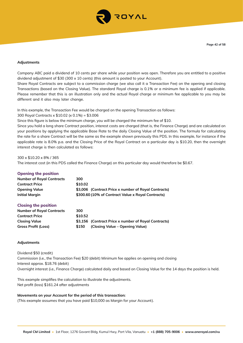

#### **Adjustments**

Company ABC paid a dividend of 10 cents per share while your position was open. Therefore you are entitled to a positive dividend adjustment of \$30 (300 x 10 cents) (this amount is posted to your Account).

Share Royal Contracts are subject to a commission charge (we also call it a Transaction Fee) on the opening and closing Transactions (based on the Closing Value). The standard Royal charge is 0.1% or a minimum fee is applied if applicable. Please remember that this is an illustration only and the actual Royal charge or minimum fee applicable to you may be different and it also may later change.

In this example, the Transaction Fee would be charged on the opening Transaction as follows:

300 Royal Contracts x \$10.02 (x 0.1%) = \$3.006

Since this figure is below the minimum charge, you will be charged the minimum fee of \$10.

Since you hold a long share Contract position, interest costs are charged (that is, the Finance Charge) and are calculated on your positions by applying the applicable Base Rate to the daily Closing Value of the position. The formula for calculating the rate for a share Contract will be the same as the example shown previously this PDS. In this example, for instance if the applicable rate is 8.0% p.a. and the Closing Price of the Royal Contract on a particular day is \$10.20, then the overnight interest charge is then calculated as follows:

## 300 x \$10.20 x 8% / 365

The interest cost (in this PDS called the Finance Charge) on this particular day would therefore be \$0.67.

#### **Opening the position**

| <b>Number of Royal Contracts</b> | 300                                                  |
|----------------------------------|------------------------------------------------------|
| <b>Contract Price</b>            | \$10.02                                              |
| <b>Opening Value</b>             | \$3,006 (Contract Price x number of Royal Contracts) |
| Initial Margin                   | \$300.60 (10% of Contract Value x Royal Contracts)   |

## **Closing the position**

| <b>Number of Royal Contracts</b> | 300     |                                                      |
|----------------------------------|---------|------------------------------------------------------|
| <b>Contract Price</b>            | \$10.52 |                                                      |
| <b>Closing Value</b>             |         | \$3,156 (Contract Price x number of Royal Contracts) |
| <b>Gross Profit (Loss)</b>       | \$150   | (Closing Value – Opening Value)                      |

## **Adjustments**

Dividend \$50 (credit) Commission (i.e., the Transaction Fee) \$20 (debit) Minimum fee applies on opening and closing Interest approx. \$18.76 (debit) Overnight interest (i.e., Finance Charge) calculated daily and based on Closing Value for the 14 days the position is held.

This example simplifies the calculation to illustrate the adjustments. Net profit (loss) \$161.24 after adjustments

#### **Movements on your Account for the period of this transaction:**

(This example assumes that you have paid \$10,000 as Margin for your Account).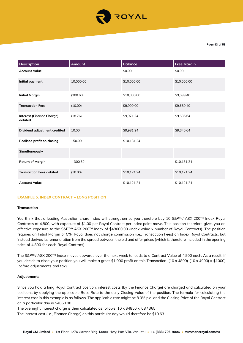

| <b>Description</b>                          | Amount    | <b>Balance</b> | <b>Free Margin</b> |
|---------------------------------------------|-----------|----------------|--------------------|
| <b>Account Value</b>                        |           | \$0.00         | \$0.00             |
| Initial payment                             | 10,000.00 | \$10,000.00    | \$10,000.00        |
| <b>Initial Margin</b>                       | (300.60)  | \$10,000.00    | \$9,699.40         |
| <b>Transaction Fees</b>                     | (10.00)   | \$9,990.00     | \$9,689.40         |
| <b>Interest (Finance Charge)</b><br>debited | (18.76)   | \$9,971.24     | \$9,635.64         |
| Dividend adjustment credited                | 10.00     | \$9,981.24     | \$9,645.64         |
| Realised profit on closing                  | 150.00    | \$10,131.24    |                    |
| Simultaneously                              |           |                |                    |
| <b>Return of Margin</b>                     | $+300.60$ |                | \$10,131.24        |
| <b>Transaction Fees debited</b>             | (10.00)   | \$10,121.24    | \$10,121.24        |
| <b>Account Value</b>                        |           | \$10,121.24    | \$10,121.24        |

#### **EXAMPLE 5: INDEX CONTRACT – LONG POSITION**

#### **Transaction**

You think that a leading Australian share index will strengthen so you therefore buy 10 S&P™/ ASX 200™ Index Royal Contracts at 4,800, with exposure of \$1.00 per Royal Contract per index point move. This position therefore gives you an effective exposure to the S&P™/ ASX 200™ Index of \$48000.00 (Index value x number of Royal Contracts). The position requires an Initial Margin of 5%. Royal does not charge commission (i.e., Transaction Fees) on Index Royal Contracts, but instead derives its remuneration from the spread between the bid and offer prices (which is therefore included in the opening price of 4,800 for each Royal Contract).

The S&P™/ ASX 200™ Index moves upwards over the next week to leads to a Contract Value of 4,900 each. As a result, if you decide to close your position you will make a gross \$1,000 profit on this Transaction ((10 x 4800)-(10 x 4900) = \$1000) (before adjustments and tax).

#### **Adjustments**

Since you hold a long Royal Contract position, interest costs (by the Finance Charge) are charged and calculated on your positions by applying the applicable Base Rate to the daily Closing Value of the position. The formula for calculating the interest cost in this example is as follows. The applicable rate might be 8.0% p.a. and the Closing Price of the Royal Contract on a particular day is \$4850.00.

The overnight interest charge is then calculated as follows:  $10 \times $4850 \times .08$  / 365

The interest cost (i.e., Finance Charge) on this particular day would therefore be \$10.63.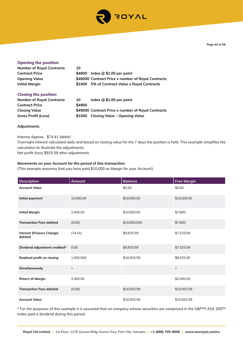

**Page 44 of 58**

| <b>Opening the position</b>      |        |                                                    |
|----------------------------------|--------|----------------------------------------------------|
| <b>Number of Royal Contracts</b> | 10     |                                                    |
| <b>Contract Price</b>            |        | \$4800 Index @ \$1.00 per point                    |
| <b>Opening Value</b>             |        | \$48000 Contract Price x number of Royal Contracts |
| <b>Initial Margin</b>            |        | \$2400 5% of Contract Value x Royal Contracts      |
| <b>Closing the position</b>      |        |                                                    |
| <b>Number of Royal Contracts</b> | 10     | Index $@$ \$1.00 per point                         |
| <b>Contract Price</b>            | \$4900 |                                                    |

**Closing Value \$49000 Contract Price x number of Royal Contracts**

**Gross Profit (Loss) \$1000 Closing Value – Opening Value**

**Adjustments**

Interest Approx. \$74.41 (debit)

Overnight interest calculated daily and based on closing value for the 7 days the position is held. This example simplifies the calculation to illustrate the adjustments.

Net profit (loss) \$925.59 after adjustments

## **Movements on your Account for the period of this transaction:**

(This example assumes that you have paid \$10,000 as Margin for your Account).

| <b>Description</b>                          | <b>Amount</b>     | <b>Balance</b> | <b>Free Margin</b> |
|---------------------------------------------|-------------------|----------------|--------------------|
| <b>Account Value</b>                        |                   | \$0.00         | \$0.00             |
| Initial payment                             | 10,000.00         | \$10,000.00    | \$10,000.00        |
| <b>Initial Margin</b>                       | 2,400.00          | \$10,000.00    | \$7,600            |
| <b>Transaction Fees debited</b>             | (0.00)            | \$10,000.000   | \$7,600            |
| <b>Interest (Finance Charge)</b><br>debited | (74.41)           | \$9,925.59     | \$7,525.59         |
| Dividend adjustment credited*               | 0.00              | \$9,925.59     | \$7,525.59         |
| Realised profit on closing                  | 1,000.000         | \$10,925.59    | \$8,525.00         |
| Simultaneously                              | $\qquad \qquad +$ |                | $\ddot{}$          |
| <b>Return of Margin</b>                     | 2,400.00          |                | \$2,400.00         |
| <b>Transaction Fees debited</b>             | (0.00)            | \$10,925.59    | \$10,925.59        |
| <b>Account Value</b>                        |                   | \$10,925.59    | \$10,925.59        |

\* For the purposes of this example it is assumed that no company whose securities are comprised in the S&P™/ ASX 200™ Index paid a dividend during this period.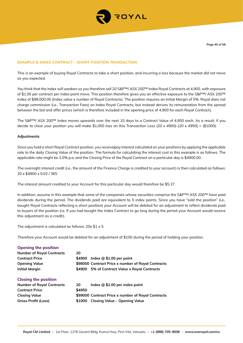

## **EXAMPLE 6: INDEX CONTRACT – SHORT POSITION TRANSACTION**

This is an example of buying Royal Contracts to take a short position, and incurring a loss because the market did not move as you expected.

You think that the index will weaken so you therefore sell 20 S&P™/ ASX 200™ Index Royal Contracts at 4,900, with exposure of \$1.00 per contract per index point move. This position therefore gives you an effective exposure to the S&P™/ ASX 200™ Index of \$98,000.00 (Index value x number of Royal Contracts). The position requires an Initial Margin of 5%. Royal does not charge commission (i.e., Transaction Fees) on Index Royal Contracts, but instead derives its remuneration from the spread between the bid and offer prices (which is therefore included in the opening price of 4,900 for each Royal Contract).

The S&P™/ ASX 200™ Index moves upwards over the next 10 days to a Contract Value of 4,950 each. As a result, if you decide to close your position you will make \$1,000 loss on this Transaction Loss (20 x 4900)-(20 x 4950) = (\$1000).

## **Adjustments**

Since you hold a short Royal Contract position, you receive/pay interest calculated on your positions by applying the applicable rate to the daily Closing Value of the position. The formula for calculating the interest cost in this example is as follows. The applicable rate might be 2.0% p.a. and the Closing Price of the Royal Contract on a particular day is \$4900.00.

The overnight interest credit (i.e., the amount of the Finance Charge is credited to your account) is then calculated as follows: 20 x \$4900 x 0.02 / 365

The interest amount credited to your Account for this particular day would therefore be \$5.37.

In addition, assume in this example that some of the companies whose securities comprise the S&P™/ ASX 200™ have paid dividends during the period. The dividends paid are equivalent to 5 index points. Since you have "sold the position" (i.e., bought Royal Contracts reflecting a short position) your Account will be debited for an adjustment to reflect dividends paid to buyers of the position (i.e. if you had bought the Index Contract to go long during the period your Account would receive this adjustment as a credit).

The adjustment is calculated as follows:  $20x $1 x 5$ 

Therefore your Account would be debited for an adjustment of \$100 during the period of holding your position.

| <b>Opening the position</b>      |        |                                                    |
|----------------------------------|--------|----------------------------------------------------|
| <b>Number of Royal Contracts</b> | 20     |                                                    |
| <b>Contract Price</b>            | \$4900 | Index $@$ \$1.00 per point                         |
| <b>Opening Value</b>             |        | \$98000 Contract Price x number of Royal Contracts |
| <b>Initial Margin</b>            | \$4900 | 5% of Contract Value x Royal Contracts             |
| <b>Closing the position</b>      |        |                                                    |
| <b>Number of Royal Contracts</b> | 20     | Index $@$ \$1.00 per index point                   |
| <b>Contract Price</b>            | \$4950 |                                                    |
| <b>Closing Value</b>             |        | \$99000 Contract Price x number of Royal Contracts |
| <b>Gross Profit (Loss)</b>       | \$1000 | Closing Value – Opening Value                      |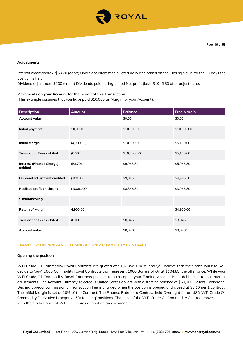

#### **Adjustments**

Interest credit approx. \$53.70 (debit) Overnight interest calculated daily and based on the Closing Value for the 10 days the position is held.

Dividend adjustment \$100 (credit) Dividends paid during period Net profit (loss) \$1046.30 after adjustments

## **Movements on your Account for the period of this Transaction:**

(This example assumes that you have paid \$10,000 as Margin for your Account).

| <b>Description</b>                          | <b>Amount</b> | <b>Balance</b> | <b>Free Margin</b> |
|---------------------------------------------|---------------|----------------|--------------------|
| <b>Account Value</b>                        |               | \$0.00         | \$0.00             |
| Initial payment                             | 10,000.00     | \$10,000.00    | \$10,000.00        |
| <b>Initial Margin</b>                       | (4,900.00)    | \$10,000.00    | \$5,100.00         |
| <b>Transaction Fees debited</b>             | (0.00)        | \$10,000.000   | \$5,100.00         |
| <b>Interest (Finance Charge)</b><br>debited | (53,70)       | \$9,946.30     | \$5,046.30         |
| Dividend adjustment credited                | (100.00)      | \$9,846.30     | \$4,946.30         |
| Realised profit on closing                  | (1000.000)    | \$8,846.30     | \$3,946.30         |
| Simultaneously                              | $\ddot{}$     |                | $+$                |
| <b>Return of Margin</b>                     | 4,900.00      |                | \$4,900.00         |
| <b>Transaction Fees debited</b>             | (0.00)        | \$8,846.30     | \$8,846.3          |
| <b>Account Value</b>                        |               | \$8,846.30     | \$8,846.3          |

## **EXAMPLE 7: OPENING AND CLOSING A 'LONG' COMMODITY CONTRACT**

#### **Opening the position**

WTI Crude Oil Commodity Royal Contracts are quoted at \$102.85/\$104.85 and you believe that their price will rise. You decide to 'buy' 1,000 Commodity Royal Contracts that represent 1000 Barrels of Oil at \$104.85, the offer price. While your WTI Crude Oil Commodity Royal Contracts position remains open, your Trading Account is be debited to reflect interest adjustments. The Account Currency selected is United States dollars with a starting balance of \$50,000 Dollars. Brokerage, Dealing Spread, commission or Transaction Fee is charged when the position is opened and closed at \$0.10 per 1 contract. The Initial Margin is set at 10% of the Contract. The Finance Rate for a Contract held Overnight for an USD WTI Crude Oil Commodity Derivative is negative 5% for 'long' positions. The price of the WTI Crude Oil Commodity Contract moves in line with the market price of WTI Oil Futures quoted on an exchange.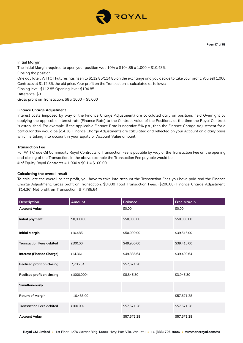

## **Initial Margin**

The Initial Margin required to open your position was  $10\% \times $104.85 \times 1,000 = $10,485$ . Closing the position One day later, WTI Oil Futures has risen to \$112.85/114.85 on the exchange and you decide to take your profit. You sell 1,000 Contracts at \$112.85, the bid price. Your profit on the Transaction is calculated as follows: Closing level: \$112.85 Opening level: \$104.85 Difference: \$8 Gross profit on Transaction: \$8 x 1000 = \$5,000

## **Finance Charge Adjustment**

Interest costs (imposed by way of the Finance Charge Adjustment) are calculated daily on positions held Overnight by applying the applicable interest rate (Finance Rate) to the Contract Value of the Positions, at the time the Royal Contract is established. For example, if the applicable Finance Rate is negative 5% p.a., then the Finance Charge Adjustment for a particular day would be \$14.36. Finance Charge Adjustments are calculated and reflected on your Account on a daily basis which is taking into account in your Equity or Account Value amount.

## **Transaction Fee**

For WTI Crude Oil Commodity Royal Contracts, a Transaction Fee is payable by way of the Transaction Fee on the opening and closing of the Transaction. In the above example the Transaction Fee payable would be: # of Equity Royal Contracts =  $1,000 \times $0.1 = $100.00$ 

#### **Calculating the overall result**

To calculate the overall or net profit, you have to take into account the Transaction Fees you have paid and the Finance Charge Adjustment. Gross profit on Transaction: \$8,000 Total Transaction Fees: (\$200.00) Finance Charge Adjustment: (\$14.36) Net profit on Transaction: \$ 7,785.64

| Description                      | <b>Amount</b> | <b>Balance</b> | <b>Free Margin</b> |
|----------------------------------|---------------|----------------|--------------------|
| <b>Account Value</b>             |               | \$0.00         | \$0.00             |
| Initial payment                  | 50,000.00     | \$50,000.00    | \$50,000.00        |
| <b>Initial Margin</b>            | (10, 485)     | \$50,000.00    | \$39,515.00        |
| <b>Transaction Fees debited</b>  | (100.00)      | \$49,900.00    | \$39,415.00        |
| <b>Interest (Finance Charge)</b> | (14.36)       | \$49,885.64    | \$39,400.64        |
| Realised profit on closing       | 7,785.64      | \$57,671.28    |                    |
| Realised profit on closing       | (1000.000)    | \$8,846.30     | \$3,946.30         |
| Simultaneously                   |               |                |                    |
| <b>Return of Margin</b>          | $+10,485.00$  |                | \$57,671.28        |
| <b>Transaction Fees debited</b>  | (100.00)      | \$57,571.28    | \$57,571.28        |
| <b>Account Value</b>             |               | \$57,571.28    | \$57,571.28        |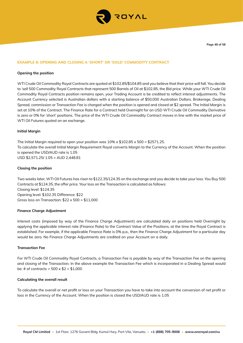

## **EXAMPLE 8: OPENING AND CLOSING A 'SHORT' OR 'SOLD' COMMODITY CONTRACT**

#### **Opening the position**

WTI Crude Oil Commodity Royal Contracts are quoted at \$102.85/\$104.85 and you believe that their price will fall. You decide to 'sell 500 Commodity Royal Contracts that represent 500 Barrels of Oil at \$102.85, the Bid price. While your WTI Crude Oil Commodity Royal Contracts position remains open, your Trading Account is be credited to reflect interest adjustments. The Account Currency selected is Australian dollars with a starting balance of \$50,000 Australian Dollars. Brokerage, Dealing Spread, commission or Transaction Fee is charged when the position is opened and closed at \$2 spread. The Initial Margin is set at 10% of the Contract. The Finance Rate for a Contract held Overnight for an USD WTI Crude Oil Commodity Derivative is zero or 0% for 'short' positions. The price of the WTI Crude Oil Commodity Contract moves in line with the market price of WTI Oil Futures quoted on an exchange.

## **Initial Margin**

The Initial Margin required to open your position was  $10\% \times $102.85 \times 500 = $2571.25$ . To calculate the overall Initial Margin Requirement Royal converts Margin to the Currency of the Account. When the position is opened the USD/AUD rate is 1.05 USD \$2,571.25/ 1.05 = AUD 2,448.81

## **Closing the position**

Two weeks later, WTI Oil Futures has risen to \$122.35/124.35 on the exchange and you decide to take your loss. You Buy 500 Contracts at \$124.35, the offer price. Your loss on the Transaction is calculated as follows: Closing level: \$124.35 Opening level: \$102.35 Difference: \$22 Gross loss on Transaction:  $$22 \times 500 = $11,000$ 

#### **Finance Charge Adjustment**

Interest costs (imposed by way of the Finance Charge Adjustment) are calculated daily on positions held Overnight by applying the applicable interest rate (Finance Rate) to the Contract Value of the Positions, at the time the Royal Contract is established. For example, if the applicable Finance Rate is 0% p.a., then the Finance Charge Adjustment for a particular day would be zero. No Finance Charge Adjustments are credited on your Account on a daily.

#### **Transaction Fee**

For WTI Crude Oil Commodity Royal Contracts, a Transaction Fee is payable by way of the Transaction Fee on the opening and closing of the Transaction. In the above example the Transaction Fee which is incorporated in a Dealing Spread would be: # of contracts =  $500 \times $2 = $1,000$ 

## **Calculating the overall result**

To calculate the overall or net profit or loss on your Transaction you have to take into account the conversion of net profit or loss in the Currency of the Account. When the position is closed the USD/AUD rate is 1.05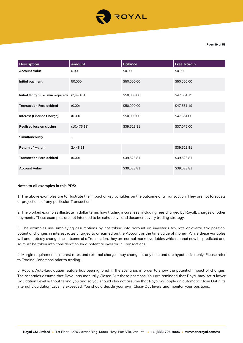

| <b>Description</b>                  | Amount       | <b>Balance</b> | <b>Free Margin</b> |
|-------------------------------------|--------------|----------------|--------------------|
| <b>Account Value</b>                | 0.00         | \$0.00         | \$0.00             |
| Initial payment                     | 50,000       | \$50,000.00    | \$50,000.00        |
| Initial Margin (i.e., min required) | (2,448.81)   | \$50,000.00    | \$47,551.19        |
| <b>Transaction Fees debited</b>     | (0.00)       | \$50,000.00    | \$47,551.19        |
| <b>Interest (Finance Charge)</b>    | (0.00)       | \$50,000.00    | \$47,551.00        |
| <b>Realised loss on closing</b>     | (10, 476.19) | \$39,523.81    | \$37,075.00        |
| Simultaneously                      | $\ddot{}$    |                |                    |
| <b>Return of Margin</b>             | 2,448.81     |                | \$39,523.81        |
| <b>Transaction Fees debited</b>     | (0.00)       | \$39,523.81    | \$39,523.81        |
| <b>Account Value</b>                |              | \$39,523.81    | \$39,523.81        |

#### **Notes to all examples in this PDS:**

1. The above examples are to illustrate the impact of key variables on the outcome of a Transaction. They are not forecasts or projections of any particular Transaction.

2. The worked examples illustrate in dollar terms how trading incurs fees (including fees charged by Royal), charges or other payments. These examples are not intended to be exhaustive and document every trading strategy.

3. The examples use simplifying assumptions by not taking into account an investor's tax rate or overall tax position, potential changes in interest rates charged to or earned on the Account or the time value of money. While these variables will undoubtedly change the outcome of a Transaction, they are normal market variables which cannot now be predicted and so must be taken into consideration by a potential investor in Transactions.

4. Margin requirements, interest rates and external charges may change at any time and are hypothetical only. Please refer to Trading Conditions prior to trading.

5. Royal's Auto-Liquidation feature has been ignored in the scenarios in order to show the potential impact of changes. The scenarios assume that Royal has manually Closed Out these positions. You are reminded that Royal may set a lower Liquidation Level without telling you and so you should also not assume that Royal will apply an automatic Close Out if its internal Liquidation Level is exceeded. You should decide your own Close-Out levels and monitor your positions.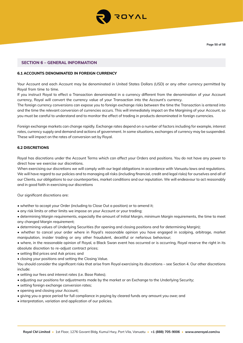

## **SECTION 6 – GENERAL INFORMATION**

# **6.1 ACCOUNTS DENOMINATED IN FOREIGN CURRENCY**

Your Account and each Account may be denominated in United States Dollars (USD) or any other currency permitted by Royal from time to time.

If you instruct Royal to effect a Transaction denominated in a currency different from the denomination of your Account currency, Royal will convert the currency value of your Transaction into the Account's currency.

The foreign currency conversions can expose you to foreign exchange risks between the time the Transaction is entered into and the time the relevant conversion of currencies occurs. This will immediately impact on the Margining of your Account, so you must be careful to understand and to monitor the effect of trading in products denominated in foreign currencies.

Foreign exchange markets can change rapidly. Exchange rates depend on a number of factors including for example, interest rates, currency supply and demand and actions of government. In some situations, exchanges of currency may be suspended. These will impact on the rates of conversion set by Royal.

## **6.2 DISCRETIONS**

Royal has discretions under the Account Terms which can affect your Orders and positions. You do not have any power to direct how we exercise our discretions.

When exercising our discretions we will comply with our legal obligations in accordance with Vanuatu laws and regulations. We will have regard to our policies and to managing all risks (including financial, credit and legal risks) for ourselves and all of our Clients, our obligations to our counterparties, market conditions and our reputation. We will endeavour to act reasonably and in good faith in exercising our discretions

Our significant discretions are:

- whether to accept your Order (including to Close Out a position) or to amend it;
- any risk limits or other limits we impose on your Account or your trading;
- determining Margin requirements, especially the amount of Initial Margin, minimum Margin requirements, the time to meet any changed Margin requirement;
- determining values of Underlying Securities (for opening and closing positions and for determining Margin);
- whether to cancel your order where in Royal's reasonable opinion you have engaged in scalping, arbitrage, market manipulation, insider trading or any other fraudulent, deceitful or nefarious behaviour;
- where, in the reasonable opinion of Royal, a Black Swan event has occurred or is occurring, Royal reserve the right in its absolute discretion to re-adjust contract prices;
- setting Bid prices and Ask prices; and
- closing your positions and setting the Closing Value.

You should consider the significant risks that arise from Royal exercising its discretions – see Section 4. Our other discretions include:

- setting our fees and interest rates (i.e. Base Rates);
- adjusting our positions for adjustments made by the market or an Exchange to the Underlying Security;
- setting foreign exchange conversion rates;
- opening and closing your Account;
- giving you a grace period for full compliance in paying by cleared funds any amount you owe; and
- interpretation, variation and application of our policies.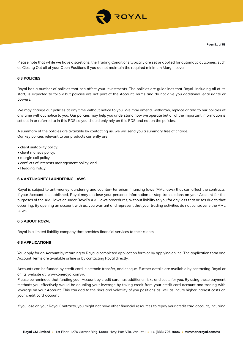

Please note that while we have discretions, the Trading Conditions typically are set or applied for automatic outcomes, such as Closing Out all of your Open Positions if you do not maintain the required minimum Margin cover.

# **6.3 POLICIES**

Royal has a number of policies that can affect your investments. The policies are guidelines that Royal (including all of its staff) is expected to follow but policies are not part of the Account Terms and do not give you additional legal rights or powers.

We may change our policies at any time without notice to you. We may amend, withdraw, replace or add to our policies at any time without notice to you. Our policies may help you understand how we operate but all of the important information is set out in or referred to in this PDS so you should only rely on this PDS and not on the policies.

A summary of the policies are available by contacting us, we will send you a summary free of charge. Our key policies relevant to our products currently are:

- client suitability policy;
- client moneys policy;
- margin call policy;
- conflicts of interests management policy; and
- Hedging Policy.

#### **6.4 ANTI-MONEY LAUNDERING LAWS**

Royal is subject to anti-money laundering and counter- terrorism financing laws (AML laws) that can affect the contracts. If your Account is established, Royal may disclose your personal information or stop transactions on your Account for the purposes of the AML laws or under Royal's AML laws procedures, without liability to you for any loss that arises due to that occurring. By opening an account with us, you warrant and represent that your trading activities do not contravene the AML Laws.

## **6.5 ABOUT ROYAL**

Royal is a limited liability company that provides financial services to their clients.

## **6.6 APPLICATIONS**

You apply for an Account by returning to Royal a completed application form or by applying online. The application form and Account Terms are available online or by contacting Royal directly.

Accounts can be funded by credit card, electronic transfer, and cheque. Further details are available by contacting Royal or on its website at: www.oneroyal.com/vu

Please be reminded that funding your Account by credit card has additional risks and costs for you. By using these payment methods you effectively would be doubling your leverage by taking credit from your credit card account and trading with leverage on your Account. This can add to the risks and volatility of you positions as well as incurs higher interest costs on your credit card account.

If you lose on your Royal Contracts, you might not have other financial resources to repay your credit card account, incurring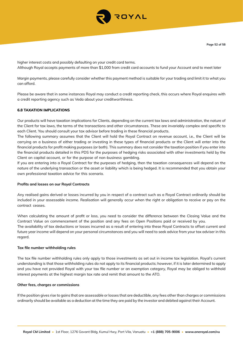

higher interest costs and possibly defaulting on your credit card terms. Although Royal accepts payments of more than \$1,000 from credit card accounts to fund your Account and to meet later

Margin payments, please carefully consider whether this payment method is suitable for your trading and limit it to what you can afford.

Please be aware that in some instances Royal may conduct a credit reporting check, this occurs where Royal enquires with a credit reporting agency such as Veda about your creditworthiness.

## **6.8 TAXATION IMPLICATIONS**

Our products will have taxation implications for Clients, depending on the current tax laws and administration, the nature of the Client for tax laws, the terms of the transactions and other circumstances. These are invariably complex and specific to each Client. You should consult your tax advisor before trading in these financial products.

The following summary assumes that the Client will hold the Royal Contract on revenue account, i.e., the Client will be carrying on a business of either trading or investing in these types of financial products or the Client will enter into the financial products for profit making purposes (or both). This summary does not consider the taxation position if you enter into the financial products detailed in this PDS for the purposes of hedging risks associated with other investments held by the Client on capital account, or for the purpose of non-business gambling.

If you are entering into a Royal Contract for the purposes of hedging, then the taxation consequences will depend on the nature of the underlying transaction or the asset or liability which is being hedged. It is recommended that you obtain your own professional taxation advice for this scenario.

#### **Profits and losses on our Royal Contracts**

Any realised gains derived or losses incurred by you in respect of a contract such as a Royal Contract ordinarily should be included in your assessable income. Realisation will generally occur when the right or obligation to receive or pay on the contract ceases.

When calculating the amount of profit or loss, you need to consider the difference between the Closing Value and the Contract Value on commencement of the position and any fees on Open Positions paid or received by you. The availability of tax deductions or losses incurred as a result of entering into these Royal Contracts to offset current and future year income will depend on your personal circumstances and you will need to seek advice from your tax adviser in this regard.

#### **Tax file number withholding rules**

The tax file number withholding rules only apply to those investments as set out in income tax legislation. Royal's current understanding is that those withholding rules do not apply to its financial products; however, if it is later determined to apply and you have not provided Royal with your tax file number or an exemption category, Royal may be obliged to withhold interest payments at the highest margin tax rate and remit that amount to the ATO.

#### **Other fees, charges or commissions**

If the position gives rise to gains that are assessable or losses that are deductible, any fees other than charges or commissions ordinarily should be available as a deduction at the time they are paid by the investor and debited against their Account.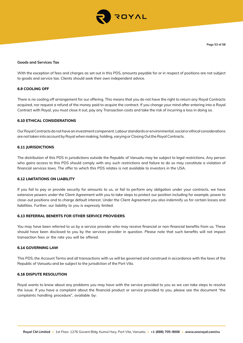

#### **Goods and Services Tax**

With the exception of fees and charges as set out in this PDS, amounts payable for or in respect of positions are not subject to goods and service tax. Clients should seek their own independent advice.

## **6.9 COOLING OFF**

There is no cooling off arrangement for our offering. This means that you do not have the right to return any Royal Contracts acquired, nor request a refund of the money paid to acquire the contract. If you change your mind after entering into a Royal Contract with Royal, you must close it out, pay any Transaction costs and take the risk of incurring a loss in doing so.

## **6.10 ETHICAL CONSIDERATIONS**

Our Royal Contracts do not have an investment component. Labour standards or environmental, social or ethical considerations are not taken into account by Royal when making, holding, varying or Closing Out the Royal Contracts.

#### **6.11 JURISDICTIONS**

The distribution of this PDS in jurisdictions outside the Republic of Vanuatu may be subject to legal restrictions. Any person who gains access to this PDS should comply with any such restrictions and failure to do so may constitute a violation of financial services laws. The offer to which this PDS relates is not available to investors in the USA.

#### **6.12 LIMITATIONS ON LIABILITY**

If you fail to pay or provide security for amounts to us, or fail to perform any obligation under your contracts, we have extensive powers under the Client Agreement with you to take steps to protect our position including for example, power to close-out positions and to charge default interest. Under the Client Agreement you also indemnify us for certain losses and liabilities. Further, our liability to you is expressly limited.

#### **6.13 REFERRAL BENEFTS FOR OTHER SERVICE PROVIDERS**

You may have been referred to us by a service provider who may receive financial or non-financial benefits from us. These should have been disclosed to you by the services provider in question. Please note that such benefits will not impact transaction fees or the rate you will be offered.

## **6.14 GOVERNING LAW**

This PDS, the Account Terms and all transactions with us will be governed and construed in accordance with the laws of the Republic of Vanuatu and be subject to the jurisdiction of the Port Vila.

## **6.16 DISPUTE RESOLUTION**

Royal wants to know about any problems you may have with the service provided to you so we can take steps to resolve the issue. If you have a complaint about the financial product or service provided to you, please see the document "the complaints handling procedure", available by: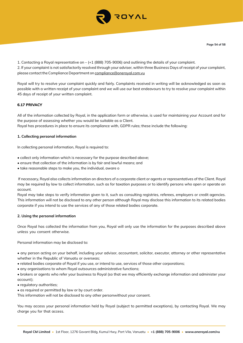

1. Contacting a Royal representative on – (+1 (888) 705-9006) and outlining the details of your complaint. 2. If your complaint is not satisfactorily resolved through your adviser, within three Business Days of receipt of your complaint, please contact the Compliance Department on compliance@oneroyal.com.vu

Royal will try to resolve your complaint quickly and fairly. Complaints received in writing will be acknowledged as soon as possible with a written receipt of your complaint and we will use our best endeavours to try to resolve your complaint within 45 days of receipt of your written complaint.

# **6.17 PRIVACY**

All of the information collected by Royal, in the application form or otherwise, is used for maintaining your Account and for the purpose of assessing whether you would be suitable as a Client.

Royal has procedures in place to ensure its compliance with, GDPR rules; these include the following:

## **1. Collecting personal information**

In collecting personal information, Royal is required to:

- collect only information which is necessary for the purpose described above;
- ensure that collection of the information is by fair and lawful means; and
- take reasonable steps to make you, the individual, aware o

 If necessary, Royal also collects information on directors of a corporate client or agents or representatives of the Client. Royal may be required by law to collect information, such as for taxation purposes or to identify persons who open or operate an account.

Royal may take steps to verify information given to it, such as consulting registries, referees, employers or credit agencies. This information will not be disclosed to any other person although Royal may disclose this information to its related bodies corporate if you intend to use the services of any of those related bodies corporate.

#### **2. Using the personal information**

Once Royal has collected the information from you, Royal will only use the information for the purposes described above unless you consent otherwise.

Personal information may be disclosed to:

• any person acting on your behalf, including your advisor, accountant, solicitor, executor, attorney or other representative whether in the Republic of Vanuatu or overseas;

- related bodies corporate of Royal if you use, or intend to use, services of those other corporations;
- any organisations to whom Royal outsources administrative functions;

• brokers or agents who refer your business to Royal (so that we may efficiently exchange information and administer your account);

- regulatory authorities;
- as required or permitted by law or by court order.

This information will not be disclosed to any other personwithout your consent.

You may access your personal information held by Royal (subject to permitted exceptions), by contacting Royal. We may charge you for that access.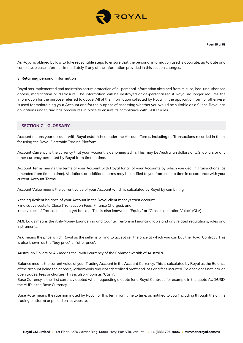

As Royal is obliged by law to take reasonable steps to ensure that the personal information used is accurate, up to date and complete, please inform us immediately if any of the information provided in this section changes.

#### **3. Retaining personal information**

Royal has implemented and maintains secure protection of all personal information obtained from misuse, loss, unauthorised access, modification or disclosure. The information will be destroyed or de-personalised if Royal no longer requires the information for the purpose referred to above. All of the information collected by Royal, in the application form or otherwise, is used for maintaining your Account and for the purpose of assessing whether you would be suitable as a Client. Royal has obligations under, and has procedures in place to ensure its compliance with GDPR rules.

## **SECTION 7 – GLOSSARY**

Account means your account with Royal established under the Account Terms, including all Transactions recorded in them, for using the Royal Electronic Trading Platform.

Account Currency is the currency that your Account is denominated in. This may be Australian dollars or U.S. dollars or any other currency permitted by Royal from time to time.

Account Terms means the terms of your Account with Royal for all of your Accounts by which you deal in Transactions (as amended from time to time). Variations or additional terms may be notified to you from time to time in accordance with your current Account Terms.

Account Value means the current value of your Account which is calculated by Royal by combining:

- the equivalent balance of your Account in the Royal client moneys trust account;
- indicative costs to Close (Transaction Fees, Finance Charges); and
- the values of Transactions not yet booked. This is also known as "Equity" or "Gross Liquidation Value" (GLV).

AML Laws means the Anti-Money Laundering and Counter Terrorism Financing laws and any related regulations, rules and instruments.

Ask means the price which Royal as the seller is willing to accept i.e., the price at which you can buy the Royal Contract. This is also known as the "buy price" or "offer price".

Australian Dollars or A\$ means the lawful currency of the Commonwealth of Australia.

Balance means the current value of your Trading Account in the Account Currency. This is calculated by Royal as the Balance of the account being the deposit, withdrawals and closed/ realised profit and loss and fees incurred. Balance does not include open trades, fees or charges. This is also known as "Cash".

Base Currency is the first currency quoted when requesting a quote for a Royal Contract, for example in the quote AUD/USD, the AUD is the Base Currency.

Base Rate means the rate nominated by Royal for this term from time to time, as notified to you (including through the online trading platform) or posted on its website.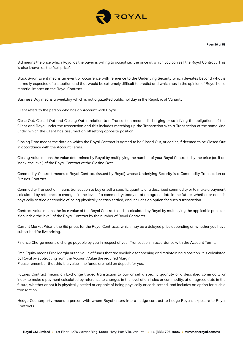

Bid means the price which Royal as the buyer is willing to accept i.e., the price at which you can sell the Royal Contract. This is also known as the "sell price".

Black Swan Event means an event or occurrence with reference to the Underlying Security which deviates beyond what is normally expected of a situation and that would be extremely difficult to predict and which has in the opinion of Royal has a material impact on the Royal Contract.

Business Day means a weekday which is not a gazetted public holiday in the Republic of Vanuatu.

Client refers to the person who has an Account with Royal.

Close Out, Closed Out and Closing Out in relation to a Transaction means discharging or satisfying the obligations of the Client and Royal under the transaction and this includes matching up the Transaction with a Transaction of the same kind under which the Client has assumed an offsetting opposite position.

Closing Date means the date on which the Royal Contract is agreed to be Closed Out, or earlier, if deemed to be Closed Out in accordance with the Account Terms.

Closing Value means the value determined by Royal by multiplying the number of your Royal Contracts by the price (or, if an index, the level) of the Royal Contract at the Closing Date.

Commodity Contract means a Royal Contract (issued by Royal) whose Underlying Security is a Commodity Transaction or Futures Contract.

Commodity Transaction means transaction to buy or sell a specific quantity of a described commodity or to make a payment calculated by reference to changes in the level of a commodity; today or at an agreed date in the future, whether or not it is physically settled or capable of being physically or cash settled, and includes an option for such a transaction.

Contract Value means the face value of the Royal Contract, and is calculated by Royal by multiplying the applicable price (or, if an index, the level) of the Royal Contract by the number of Royal Contracts.

Current Market Price is the Bid prices for the Royal Contracts, which may be a delayed price depending on whether you have subscribed for live pricing.

Finance Charge means a charge payable by you in respect of your Transaction in accordance with the Account Terms.

Free Equity means Free Margin or the value of funds that are available for opening and maintaining a position. It is calculated by Royal by subtracting from the Account Value the required Margin. Please remember that this is a value – no funds are held on deposit for you.

Futures Contract means an Exchange traded transaction to buy or sell a specific quantity of a described commodity or index to make a payment calculated by reference to changes in the level of an index or commodity, at an agreed date in the future, whether or not it is physically settled or capable of being physically or cash settled, and includes an option for such a transaction.

Hedge Counterparty means a person with whom Royal enters into a hedge contract to hedge Royal's exposure to Royal Contracts.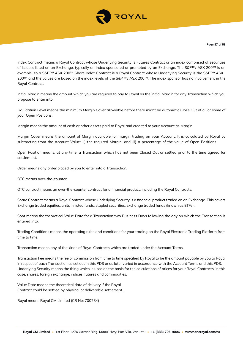

Index Contract means a Royal Contract whose Underlying Security is Futures Contract or an index comprised of securities of issuers listed on an Exchange, typically an index sponsored or promoted by an Exchange. The S&P™/ ASX 200™ is an example, so a S&P™/ ASX 200™ Share Index Contract is a Royal Contract whose Underlying Security is the S&P™/ ASX 200™ and the values are based on the index levels of the S&P ™/ ASX 200™. The index sponsor has no involvement in the Royal Contract.

Initial Margin means the amount which you are required to pay to Royal as the initial Margin for any Transaction which you propose to enter into.

Liquidation Level means the minimum Margin Cover allowable before there might be automatic Close Out of all or some of your Open Positions.

Margin means the amount of cash or other assets paid to Royal and credited to your Account as Margin

Margin Cover means the amount of Margin available for margin trading on your Account. It is calculated by Royal by subtracting from the Account Value: (i) the required Margin; and (ii) a percentage of the value of Open Positions.

Open Position means, at any time, a Transaction which has not been Closed Out or settled prior to the time agreed for settlement.

Order means any order placed by you to enter into a Transaction.

OTC means over-the-counter.

OTC contract means an over-the-counter contract for a financial product, including the Royal Contracts.

Share Contract means a Royal Contract whose Underlying Security is a financial product traded on an Exchange. This covers Exchange traded equities, units in listed funds, stapled securities, exchange traded funds (known as ETFs).

Spot means the theoretical Value Date for a Transaction two Business Days following the day on which the Transaction is entered into.

Trading Conditions means the operating rules and conditions for your trading on the Royal Electronic Trading Platform from time to time.

Transaction means any of the kinds of Royal Contracts which are traded under the Account Terms.

Transaction Fee means the fee or commission from time to time specified by Royal to be the amount payable by you to Royal in respect of each Transaction as set out in this PDS or as later varied in accordance with the Account Terms and this PDS. Underlying Security means the thing which is used as the basis for the calculations of prices for your Royal Contracts, in this case; shares, foreign exchange, indices, futures and commodities.

Value Date means the theoretical date of delivery if the Royal Contract could be settled by physical or deliverable settlement.

Royal means Royal CM Limited (CR No: 700284)